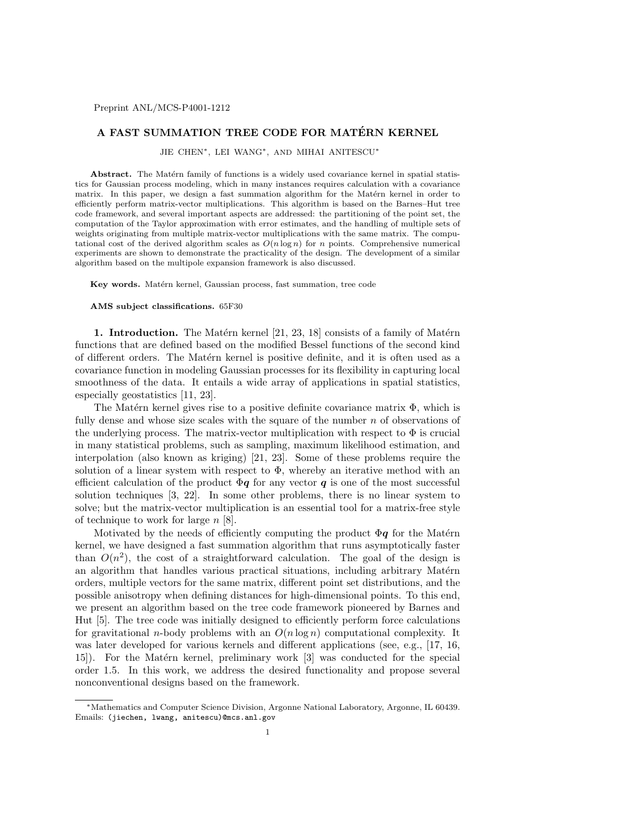## A FAST SUMMATION TREE CODE FOR MATÉRN KERNEL

JIE CHEN∗, LEI WANG∗, AND MIHAI ANITESCU<sup>∗</sup>

Abstract. The Matérn family of functions is a widely used covariance kernel in spatial statistics for Gaussian process modeling, which in many instances requires calculation with a covariance matrix. In this paper, we design a fast summation algorithm for the Matérn kernel in order to efficiently perform matrix-vector multiplications. This algorithm is based on the Barnes–Hut tree code framework, and several important aspects are addressed: the partitioning of the point set, the computation of the Taylor approximation with error estimates, and the handling of multiple sets of weights originating from multiple matrix-vector multiplications with the same matrix. The computational cost of the derived algorithm scales as  $O(n \log n)$  for n points. Comprehensive numerical experiments are shown to demonstrate the practicality of the design. The development of a similar algorithm based on the multipole expansion framework is also discussed.

Key words. Matérn kernel, Gaussian process, fast summation, tree code

## AMS subject classifications. 65F30

1. Introduction. The Matérn kernel  $[21, 23, 18]$  consists of a family of Matérn functions that are defined based on the modified Bessel functions of the second kind of different orders. The Matérn kernel is positive definite, and it is often used as a covariance function in modeling Gaussian processes for its flexibility in capturing local smoothness of the data. It entails a wide array of applications in spatial statistics, especially geostatistics [11, 23].

The Matérn kernel gives rise to a positive definite covariance matrix  $\Phi$ , which is fully dense and whose size scales with the square of the number n of observations of the underlying process. The matrix-vector multiplication with respect to  $\Phi$  is crucial in many statistical problems, such as sampling, maximum likelihood estimation, and interpolation (also known as kriging) [21, 23]. Some of these problems require the solution of a linear system with respect to  $\Phi$ , whereby an iterative method with an efficient calculation of the product  $\Phi q$  for any vector q is one of the most successful solution techniques [3, 22]. In some other problems, there is no linear system to solve; but the matrix-vector multiplication is an essential tool for a matrix-free style of technique to work for large  $n$  [8].

Motivated by the needs of efficiently computing the product  $\Phi q$  for the Matérn kernel, we have designed a fast summation algorithm that runs asymptotically faster than  $O(n^2)$ , the cost of a straightforward calculation. The goal of the design is an algorithm that handles various practical situations, including arbitrary Matérn orders, multiple vectors for the same matrix, different point set distributions, and the possible anisotropy when defining distances for high-dimensional points. To this end, we present an algorithm based on the tree code framework pioneered by Barnes and Hut [5]. The tree code was initially designed to efficiently perform force calculations for gravitational *n*-body problems with an  $O(n \log n)$  computational complexity. It was later developed for various kernels and different applications (see, e.g., [17, 16, 15. For the Matérn kernel, preliminary work [3] was conducted for the special order 1.5. In this work, we address the desired functionality and propose several nonconventional designs based on the framework.

<sup>∗</sup>Mathematics and Computer Science Division, Argonne National Laboratory, Argonne, IL 60439. Emails: (jiechen, lwang, anitescu)@mcs.anl.gov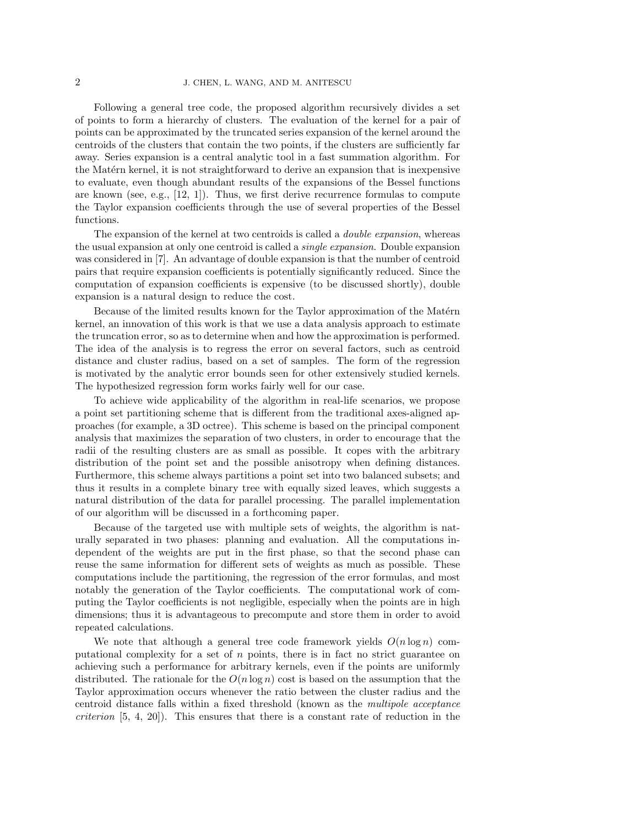Following a general tree code, the proposed algorithm recursively divides a set of points to form a hierarchy of clusters. The evaluation of the kernel for a pair of points can be approximated by the truncated series expansion of the kernel around the centroids of the clusters that contain the two points, if the clusters are sufficiently far away. Series expansion is a central analytic tool in a fast summation algorithm. For the Matérn kernel, it is not straightforward to derive an expansion that is inexpensive to evaluate, even though abundant results of the expansions of the Bessel functions are known (see, e.g.,  $[12, 1]$ ). Thus, we first derive recurrence formulas to compute the Taylor expansion coefficients through the use of several properties of the Bessel functions.

The expansion of the kernel at two centroids is called a *double expansion*, whereas the usual expansion at only one centroid is called a single expansion. Double expansion was considered in [7]. An advantage of double expansion is that the number of centroid pairs that require expansion coefficients is potentially significantly reduced. Since the computation of expansion coefficients is expensive (to be discussed shortly), double expansion is a natural design to reduce the cost.

Because of the limited results known for the Taylor approximation of the Matérn kernel, an innovation of this work is that we use a data analysis approach to estimate the truncation error, so as to determine when and how the approximation is performed. The idea of the analysis is to regress the error on several factors, such as centroid distance and cluster radius, based on a set of samples. The form of the regression is motivated by the analytic error bounds seen for other extensively studied kernels. The hypothesized regression form works fairly well for our case.

To achieve wide applicability of the algorithm in real-life scenarios, we propose a point set partitioning scheme that is different from the traditional axes-aligned approaches (for example, a 3D octree). This scheme is based on the principal component analysis that maximizes the separation of two clusters, in order to encourage that the radii of the resulting clusters are as small as possible. It copes with the arbitrary distribution of the point set and the possible anisotropy when defining distances. Furthermore, this scheme always partitions a point set into two balanced subsets; and thus it results in a complete binary tree with equally sized leaves, which suggests a natural distribution of the data for parallel processing. The parallel implementation of our algorithm will be discussed in a forthcoming paper.

Because of the targeted use with multiple sets of weights, the algorithm is naturally separated in two phases: planning and evaluation. All the computations independent of the weights are put in the first phase, so that the second phase can reuse the same information for different sets of weights as much as possible. These computations include the partitioning, the regression of the error formulas, and most notably the generation of the Taylor coefficients. The computational work of computing the Taylor coefficients is not negligible, especially when the points are in high dimensions; thus it is advantageous to precompute and store them in order to avoid repeated calculations.

We note that although a general tree code framework yields  $O(n \log n)$  computational complexity for a set of n points, there is in fact no strict guarantee on achieving such a performance for arbitrary kernels, even if the points are uniformly distributed. The rationale for the  $O(n \log n)$  cost is based on the assumption that the Taylor approximation occurs whenever the ratio between the cluster radius and the centroid distance falls within a fixed threshold (known as the multipole acceptance criterion [5, 4, 20]). This ensures that there is a constant rate of reduction in the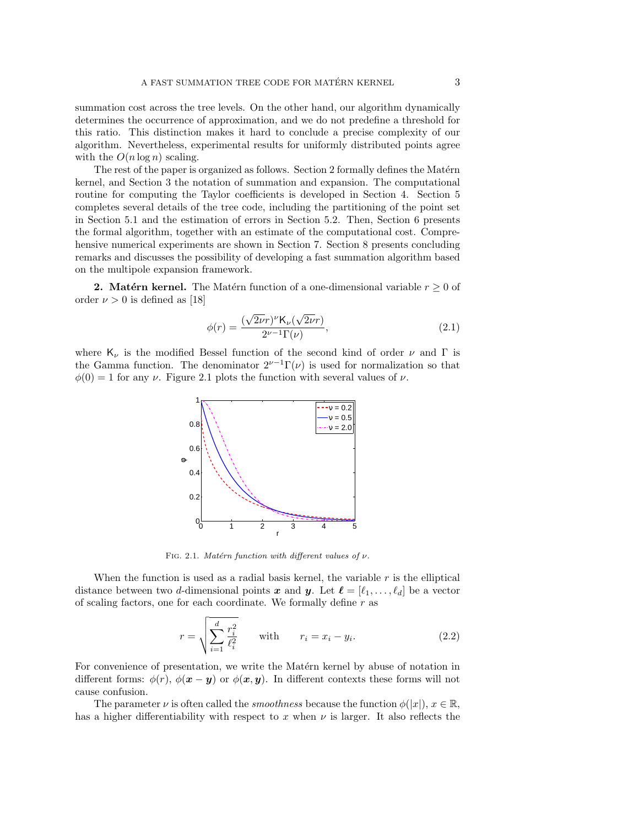summation cost across the tree levels. On the other hand, our algorithm dynamically determines the occurrence of approximation, and we do not predefine a threshold for this ratio. This distinction makes it hard to conclude a precise complexity of our algorithm. Nevertheless, experimental results for uniformly distributed points agree with the  $O(n \log n)$  scaling.

The rest of the paper is organized as follows. Section 2 formally defines the Matérn kernel, and Section 3 the notation of summation and expansion. The computational routine for computing the Taylor coefficients is developed in Section 4. Section 5 completes several details of the tree code, including the partitioning of the point set in Section 5.1 and the estimation of errors in Section 5.2. Then, Section 6 presents the formal algorithm, together with an estimate of the computational cost. Comprehensive numerical experiments are shown in Section 7. Section 8 presents concluding remarks and discusses the possibility of developing a fast summation algorithm based on the multipole expansion framework.

**2. Matérn kernel.** The Matérn function of a one-dimensional variable  $r \geq 0$  of order  $\nu > 0$  is defined as [18]

$$
\phi(r) = \frac{(\sqrt{2\nu}r)^{\nu} \mathsf{K}_{\nu}(\sqrt{2\nu}r)}{2^{\nu-1}\Gamma(\nu)},\tag{2.1}
$$

where  $K_{\nu}$  is the modified Bessel function of the second kind of order  $\nu$  and  $\Gamma$  is the Gamma function. The denominator  $2^{\nu-1}\Gamma(\nu)$  is used for normalization so that  $\phi(0) = 1$  for any  $\nu$ . Figure 2.1 plots the function with several values of  $\nu$ .



FIG. 2.1. Matérn function with different values of  $\nu$ .

When the function is used as a radial basis kernel, the variable  $r$  is the elliptical distance between two d-dimensional points x and y. Let  $\ell = [\ell_1, \ldots, \ell_d]$  be a vector of scaling factors, one for each coordinate. We formally define  $r$  as

$$
r = \sqrt{\sum_{i=1}^{d} \frac{r_i^2}{\ell_i^2}} \quad \text{with} \quad r_i = x_i - y_i. \tag{2.2}
$$

For convenience of presentation, we write the Matérn kernel by abuse of notation in different forms:  $\phi(r)$ ,  $\phi(\mathbf{x}-\mathbf{y})$  or  $\phi(\mathbf{x}, \mathbf{y})$ . In different contexts these forms will not cause confusion.

The parameter  $\nu$  is often called the *smoothness* because the function  $\phi(|x|)$ ,  $x \in \mathbb{R}$ , has a higher differentiability with respect to x when  $\nu$  is larger. It also reflects the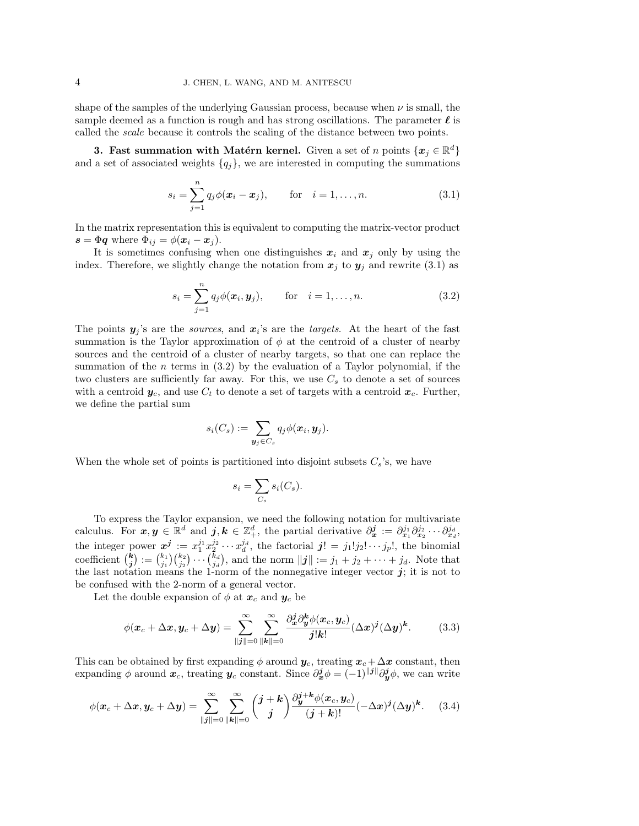shape of the samples of the underlying Gaussian process, because when  $\nu$  is small, the sample deemed as a function is rough and has strong oscillations. The parameter  $\ell$  is called the scale because it controls the scaling of the distance between two points.

3. Fast summation with Matérn kernel. Given a set of n points  $\{x_j \in \mathbb{R}^d\}$ and a set of associated weights  $\{q_j\}$ , we are interested in computing the summations

$$
s_i = \sum_{j=1}^n q_j \phi(\mathbf{x}_i - \mathbf{x}_j), \quad \text{for} \quad i = 1, ..., n. \tag{3.1}
$$

In the matrix representation this is equivalent to computing the matrix-vector product  $s = \Phi q$  where  $\Phi_{ij} = \phi(\mathbf{x}_i - \mathbf{x}_j)$ .

It is sometimes confusing when one distinguishes  $x_i$  and  $x_j$  only by using the index. Therefore, we slightly change the notation from  $x_j$  to  $y_j$  and rewrite (3.1) as

$$
s_i = \sum_{j=1}^n q_j \phi(\boldsymbol{x}_i, \boldsymbol{y}_j), \quad \text{for} \quad i = 1, \dots, n. \tag{3.2}
$$

The points  $y_j$ 's are the *sources*, and  $x_i$ 's are the *targets*. At the heart of the fast summation is the Taylor approximation of  $\phi$  at the centroid of a cluster of nearby sources and the centroid of a cluster of nearby targets, so that one can replace the summation of the  $n$  terms in  $(3.2)$  by the evaluation of a Taylor polynomial, if the two clusters are sufficiently far away. For this, we use  $C_s$  to denote a set of sources with a centroid  $y_c$ , and use  $C_t$  to denote a set of targets with a centroid  $x_c$ . Further, we define the partial sum

$$
s_i(C_s) := \sum_{\boldsymbol{y}_j \in C_s} q_j \phi(\boldsymbol{x}_i, \boldsymbol{y}_j).
$$

When the whole set of points is partitioned into disjoint subsets  $C_s$ 's, we have

$$
s_i = \sum_{C_s} s_i(C_s).
$$

To express the Taylor expansion, we need the following notation for multivariate calculus. For  $x, y \in \mathbb{R}^d$  and  $j, k \in \mathbb{Z}_+^d$ , the partial derivative  $\partial_x^j := \partial_{x_1}^{j_1} \partial_{x_2}^{j_2} \cdots \partial_{x_d}^{j_d}$ , the integer power  $x^j := x_1^{j_1} x_2^{j_2} \cdots x_d^{j_d}$ , the factorial  $j! = j_1!j_2! \cdots j_p!$ , the binomial coefficient  $\binom{k}{j} := \binom{k_1}{j_1} \binom{k_2}{j_2} \cdots \binom{k_d}{j_d}$ , and the norm  $||j|| := j_1 + j_2 + \cdots + j_d$ . Note that the last notation means the 1-norm of the nonnegative integer vector  $j$ ; it is not to be confused with the 2-norm of a general vector.

Let the double expansion of  $\phi$  at  $x_c$  and  $y_c$  be

$$
\phi(\boldsymbol{x}_c + \Delta \boldsymbol{x}, \boldsymbol{y}_c + \Delta \boldsymbol{y}) = \sum_{\|\boldsymbol{j}\| = 0}^{\infty} \sum_{\|\boldsymbol{k}\| = 0}^{\infty} \frac{\partial_{\boldsymbol{x}}^{\boldsymbol{j}} \partial_{\boldsymbol{y}}^{\boldsymbol{k}} \phi(\boldsymbol{x}_c, \boldsymbol{y}_c)}{\boldsymbol{j}! \boldsymbol{k}!} (\Delta \boldsymbol{x})^{\boldsymbol{j}} (\Delta \boldsymbol{y})^{\boldsymbol{k}}.
$$
(3.3)

This can be obtained by first expanding  $\phi$  around  $y_c$ , treating  $x_c + \Delta x$  constant, then expanding  $\phi$  around  $\bm{x}_c$ , treating  $\bm{y}_c$  constant. Since  $\partial^j_{\bm{x}}\phi = (-1)^{\|\bm{j}\|}\partial^j_{\bm{y}}\phi$ , we can write

$$
\phi(\boldsymbol{x}_c + \Delta \boldsymbol{x}, \boldsymbol{y}_c + \Delta \boldsymbol{y}) = \sum_{\|\boldsymbol{j}\| = 0}^{\infty} \sum_{\|\boldsymbol{k}\| = 0}^{\infty} \binom{\boldsymbol{j} + \boldsymbol{k}}{\boldsymbol{j}} \frac{\partial_{\boldsymbol{y}}^{\boldsymbol{j} + \boldsymbol{k}} \phi(\boldsymbol{x}_c, \boldsymbol{y}_c)}{(\boldsymbol{j} + \boldsymbol{k})!} (-\Delta \boldsymbol{x})^{\boldsymbol{j}} (\Delta \boldsymbol{y})^{\boldsymbol{k}}.
$$
 (3.4)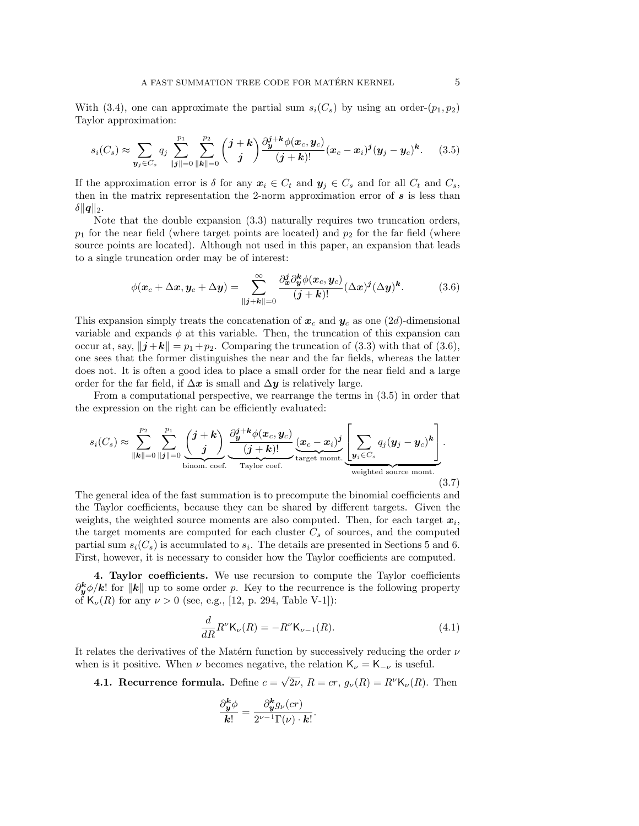With (3.4), one can approximate the partial sum  $s_i(C_s)$  by using an order- $(p_1, p_2)$ Taylor approximation:

$$
s_i(C_s) \approx \sum_{\mathbf{y}_j \in C_s} q_j \sum_{\|\mathbf{j}\| = 0}^{p_1} \sum_{\|\mathbf{k}\| = 0}^{p_2} \binom{\mathbf{j} + \mathbf{k}}{\mathbf{j}} \frac{\partial_{\mathbf{y}}^{j+\mathbf{k}} \phi(\mathbf{x}_c, \mathbf{y}_c)}{(\mathbf{j} + \mathbf{k})!} (\mathbf{x}_c - \mathbf{x}_i)^j (\mathbf{y}_j - \mathbf{y}_c)^k. \tag{3.5}
$$

If the approximation error is  $\delta$  for any  $x_i \in C_t$  and  $y_j \in C_s$  and for all  $C_t$  and  $C_s$ , then in the matrix representation the 2-norm approximation error of  $s$  is less than  $\delta ||q||_2.$ 

Note that the double expansion (3.3) naturally requires two truncation orders,  $p_1$  for the near field (where target points are located) and  $p_2$  for the far field (where source points are located). Although not used in this paper, an expansion that leads to a single truncation order may be of interest:

$$
\phi(\boldsymbol{x}_c + \Delta \boldsymbol{x}, \boldsymbol{y}_c + \Delta \boldsymbol{y}) = \sum_{\|\boldsymbol{j} + \boldsymbol{k}\| = 0}^{\infty} \frac{\partial_{\boldsymbol{x}}^j \partial_{\boldsymbol{y}}^{\boldsymbol{k}} \phi(\boldsymbol{x}_c, \boldsymbol{y}_c)}{(\boldsymbol{j} + \boldsymbol{k})!} (\Delta \boldsymbol{x})^{\boldsymbol{j}} (\Delta \boldsymbol{y})^{\boldsymbol{k}}.
$$
(3.6)

This expansion simply treats the concatenation of  $x_c$  and  $y_c$  as one (2d)-dimensional variable and expands  $\phi$  at this variable. Then, the truncation of this expansion can occur at, say,  $\|\mathbf{j}+\mathbf{k}\| = p_1+p_2$ . Comparing the truncation of (3.3) with that of (3.6), one sees that the former distinguishes the near and the far fields, whereas the latter does not. It is often a good idea to place a small order for the near field and a large order for the far field, if  $\Delta x$  is small and  $\Delta y$  is relatively large.

From a computational perspective, we rearrange the terms in (3.5) in order that the expression on the right can be efficiently evaluated:

$$
s_i(C_s) \approx \sum_{\|\boldsymbol{k}\|=0}^{p_2} \sum_{\|\boldsymbol{j}\|=0}^{p_1} \underbrace{\binom{j+\boldsymbol{k}}{j}}_{\text{binom. coef.}} \underbrace{\frac{\partial_j^{j+\boldsymbol{k}} \phi(\boldsymbol{x}_c, \boldsymbol{y}_c)}{(j+\boldsymbol{k})!}}_{\text{Taylor coef.}} \underbrace{(\boldsymbol{x}_c - \boldsymbol{x}_i)^j}_{\text{target month.}} \underbrace{\left[\sum_{\boldsymbol{y}_j \in C_s} q_j(\boldsymbol{y}_j - \boldsymbol{y}_c)^{\boldsymbol{k}}\right]}_{\text{weighted source month.}}.
$$
\n(3.7)

The general idea of the fast summation is to precompute the binomial coefficients and the Taylor coefficients, because they can be shared by different targets. Given the weights, the weighted source moments are also computed. Then, for each target  $x_i$ , the target moments are computed for each cluster  $C_s$  of sources, and the computed partial sum  $s_i(C_s)$  is accumulated to  $s_i$ . The details are presented in Sections 5 and 6. First, however, it is necessary to consider how the Taylor coefficients are computed.

4. Taylor coefficients. We use recursion to compute the Taylor coefficients  $\partial_{\bm{y}}^{\bm{k}}\phi/\bm{k}!$  for  $\|\bm{k}\|$  up to some order p. Key to the recurrence is the following property of  $\mathsf{K}_{\nu}(R)$  for any  $\nu > 0$  (see, e.g., [12, p. 294, Table V-1]):

$$
\frac{d}{dR}R^{\nu}\mathsf{K}_{\nu}(R) = -R^{\nu}\mathsf{K}_{\nu-1}(R). \tag{4.1}
$$

.

It relates the derivatives of the Matérn function by successively reducing the order  $\nu$ when is it positive. When  $\nu$  becomes negative, the relation  $K_{\nu} = K_{-\nu}$  is useful.

4.1. Recurrence formula. Define  $c =$  $\sqrt{2\nu}$ ,  $R = cr$ ,  $g_{\nu}(R) = R^{\nu}$ K<sub> $\nu$ </sub>(R). Then

$$
\frac{\partial_{\boldsymbol{y}}^{\boldsymbol{k}}\phi}{\boldsymbol{k}!} = \frac{\partial_{\boldsymbol{y}}^{\boldsymbol{k}}g_{\nu}(cr)}{2^{\nu-1}\Gamma(\nu)\cdot\boldsymbol{k}!}
$$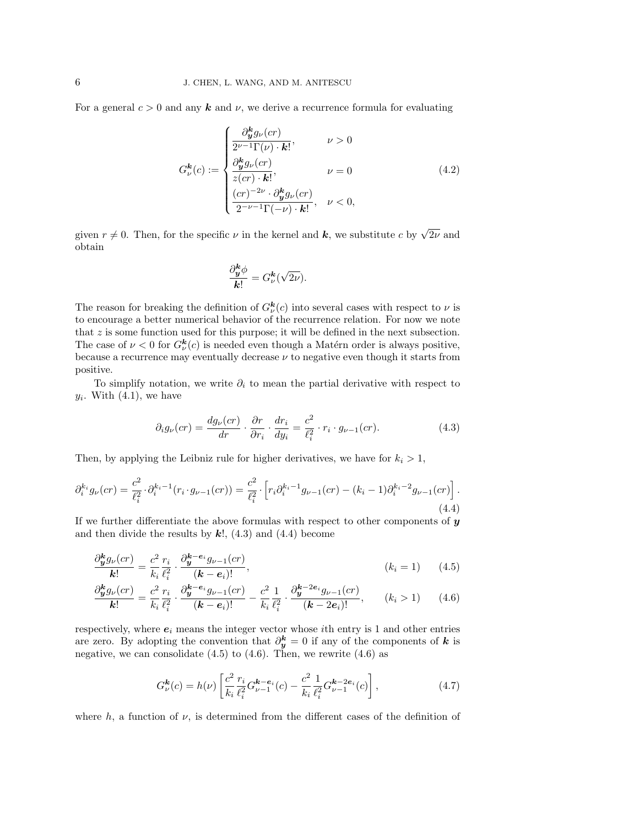For a general  $c > 0$  and any **k** and  $\nu$ , we derive a recurrence formula for evaluating

$$
G_{\nu}^{\mathbf{k}}(c) := \begin{cases} \frac{\partial_{\mathbf{y}}^{\mathbf{k}} g_{\nu}(cr)}{2^{\nu-1} \Gamma(\nu) \cdot \mathbf{k}!}, & \nu > 0\\ \frac{\partial_{\mathbf{y}}^{\mathbf{k}} g_{\nu}(cr)}{z (cr) \cdot \mathbf{k}!}, & \nu = 0\\ \frac{(cr)^{-2\nu} \cdot \partial_{\mathbf{y}}^{\mathbf{k}} g_{\nu}(cr)}{2^{-\nu-1} \Gamma(-\nu) \cdot \mathbf{k}!}, & \nu < 0, \end{cases}
$$
(4.2)

given  $r \neq 0$ . Then, for the specific  $\nu$  in the kernel and  $k$ , we substitute c by  $\sqrt{2\nu}$  and obtain

$$
\frac{\partial_{\boldsymbol{y}}^{\boldsymbol{k}}\phi}{\boldsymbol{k}!} = G_{\nu}^{\boldsymbol{k}}(\sqrt{2\nu}).
$$

The reason for breaking the definition of  $G_{\nu}^{\mathbf{k}}(c)$  into several cases with respect to  $\nu$  is to encourage a better numerical behavior of the recurrence relation. For now we note that  $z$  is some function used for this purpose; it will be defined in the next subsection. The case of  $\nu < 0$  for  $G^{\mathbf{k}}_{\nu}(c)$  is needed even though a Matérn order is always positive, because a recurrence may eventually decrease  $\nu$  to negative even though it starts from positive.

To simplify notation, we write  $\partial_i$  to mean the partial derivative with respect to  $y_i$ . With  $(4.1)$ , we have

$$
\partial_i g_\nu (cr) = \frac{dg_\nu (cr)}{dr} \cdot \frac{\partial r}{\partial r_i} \cdot \frac{dr_i}{dy_i} = \frac{c^2}{\ell_i^2} \cdot r_i \cdot g_{\nu - 1}(cr). \tag{4.3}
$$

Then, by applying the Leibniz rule for higher derivatives, we have for  $k_i > 1$ ,

$$
\partial_i^{k_i} g_{\nu}(cr) = \frac{c^2}{\ell_i^2} \cdot \partial_i^{k_i - 1}(r_i \cdot g_{\nu - 1}(cr)) = \frac{c^2}{\ell_i^2} \cdot \left[ r_i \partial_i^{k_i - 1} g_{\nu - 1}(cr) - (k_i - 1) \partial_i^{k_i - 2} g_{\nu - 1}(cr) \right].
$$
\n(4.4)

If we further differentiate the above formulas with respect to other components of  $y$ and then divide the results by  $k!$ ,  $(4.3)$  and  $(4.4)$  become

$$
\frac{\partial_{\mathbf{y}}^{k} g_{\nu}(cr)}{\mathbf{k}!} = \frac{c^{2}}{k_{i}} \frac{r_{i}}{\ell_{i}^{2}} \cdot \frac{\partial_{\mathbf{y}}^{k-e_{i}} g_{\nu-1}(cr)}{(\mathbf{k}-e_{i})!}, \qquad (k_{i} = 1) \qquad (4.5)
$$

$$
\frac{\partial_{\mathbf{y}}^{k} g_{\nu}(cr)}{\mathbf{k}!} = \frac{c^{2}}{k_{i}} \frac{r_{i}}{\ell_{i}^{2}} \cdot \frac{\partial_{\mathbf{y}}^{k-e_{i}} g_{\nu-1}(cr)}{(\mathbf{k}-\mathbf{e}_{i})!} - \frac{c^{2}}{k_{i}} \frac{1}{\ell_{i}^{2}} \cdot \frac{\partial_{\mathbf{y}}^{k-2e_{i}} g_{\nu-1}(cr)}{(\mathbf{k}-2\mathbf{e}_{i})!}, \qquad (k_{i} > 1) \tag{4.6}
$$

respectively, where  $e_i$  means the integer vector whose *i*th entry is 1 and other entries are zero. By adopting the convention that  $\partial_{\boldsymbol{y}}^{k} = 0$  if any of the components of k is negative, we can consolidate  $(4.5)$  to  $(4.6)$ . Then, we rewrite  $(4.6)$  as

$$
G_{\nu}^{\mathbf{k}}(c) = h(\nu) \left[ \frac{c^2}{k_i} \frac{r_i}{\ell_i^2} G_{\nu-1}^{\mathbf{k} - \mathbf{e}_i}(c) - \frac{c^2}{k_i} \frac{1}{\ell_i^2} G_{\nu-1}^{\mathbf{k} - 2\mathbf{e}_i}(c) \right],
$$
(4.7)

where  $h$ , a function of  $\nu$ , is determined from the different cases of the definition of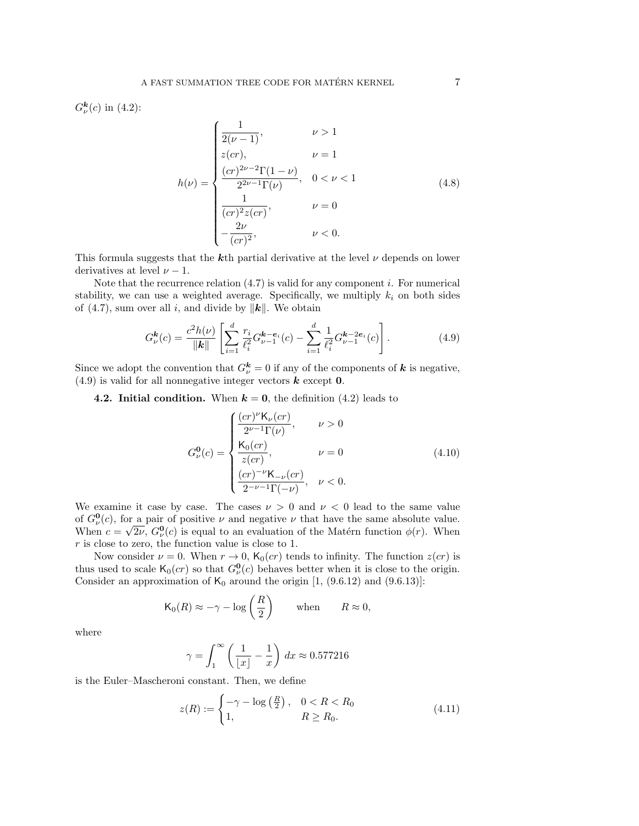$G_{\nu}^{\bm{k}}(c)$  in (4.2):

$$
h(\nu) = \begin{cases} \frac{1}{2(\nu - 1)}, & \nu > 1\\ z(cr), & \nu = 1\\ \frac{(cr)^{2\nu - 2}\Gamma(1 - \nu)}{2^{2\nu - 1}\Gamma(\nu)}, & 0 < \nu < 1\\ \frac{1}{(cr)^{2}z(cr)}, & \nu = 0\\ -\frac{2\nu}{(cr)^{2}}, & \nu < 0. \end{cases}
$$
(4.8)

This formula suggests that the kth partial derivative at the level  $\nu$  depends on lower derivatives at level  $\nu - 1$ .

Note that the recurrence relation  $(4.7)$  is valid for any component i. For numerical stability, we can use a weighted average. Specifically, we multiply  $k_i$  on both sides of (4.7), sum over all i, and divide by  $\|\mathbf{k}\|$ . We obtain

$$
G_{\nu}^{\mathbf{k}}(c) = \frac{c^2 h(\nu)}{\|\mathbf{k}\|} \left[ \sum_{i=1}^d \frac{r_i}{\ell_i^2} G_{\nu-1}^{\mathbf{k}-\mathbf{e}_i}(c) - \sum_{i=1}^d \frac{1}{\ell_i^2} G_{\nu-1}^{\mathbf{k}-2\mathbf{e}_i}(c) \right].
$$
 (4.9)

Since we adopt the convention that  $G^{\mathbf{k}}_{\nu} = 0$  if any of the components of  $\mathbf{k}$  is negative,  $(4.9)$  is valid for all nonnegative integer vectors **k** except **0**.

4.2. Initial condition. When  $k = 0$ , the definition (4.2) leads to

$$
G_{\nu}^{\mathbf{0}}(c) = \begin{cases} \frac{(cr)^{\nu} \mathsf{K}_{\nu}(cr)}{2^{\nu-1} \Gamma(\nu)}, & \nu > 0\\ \frac{\mathsf{K}_{0}(cr)}{z (cr)}, & \nu = 0\\ \frac{(cr)^{-\nu} \mathsf{K}_{-\nu}(cr)}{2^{-\nu-1} \Gamma(-\nu)}, & \nu < 0. \end{cases}
$$
(4.10)

We examine it case by case. The cases  $\nu > 0$  and  $\nu < 0$  lead to the same value of  $G^0_{\nu}(c)$ , for a pair of positive  $\nu$  and negative  $\nu$  that have the same absolute value. When  $c = \sqrt{2\nu}$ ,  $G_{\nu}^{\mathbf{0}}(c)$  is equal to an evaluation of the Matérn function  $\phi(r)$ . When  $r$  is close to zero, the function value is close to 1.

Now consider  $\nu = 0$ . When  $r \to 0$ ,  $\mathsf{K}_0(cr)$  tends to infinity. The function  $z(cr)$  is thus used to scale  $\mathsf{K}_0(cr)$  so that  $G^0_\nu(c)$  behaves better when it is close to the origin. Consider an approximation of  $K_0$  around the origin  $[1, (9.6.12)$  and  $(9.6.13)$ :

$$
\mathsf{K}_0(R) \approx -\gamma - \log\left(\frac{R}{2}\right) \quad \text{when} \quad R \approx 0,
$$

where

$$
\gamma = \int_1^\infty \left(\frac{1}{\lfloor x \rfloor} - \frac{1}{x}\right) dx \approx 0.577216
$$

is the Euler–Mascheroni constant. Then, we define

$$
z(R) := \begin{cases} -\gamma - \log\left(\frac{R}{2}\right), & 0 < R < R_0 \\ 1, & R \ge R_0. \end{cases} \tag{4.11}
$$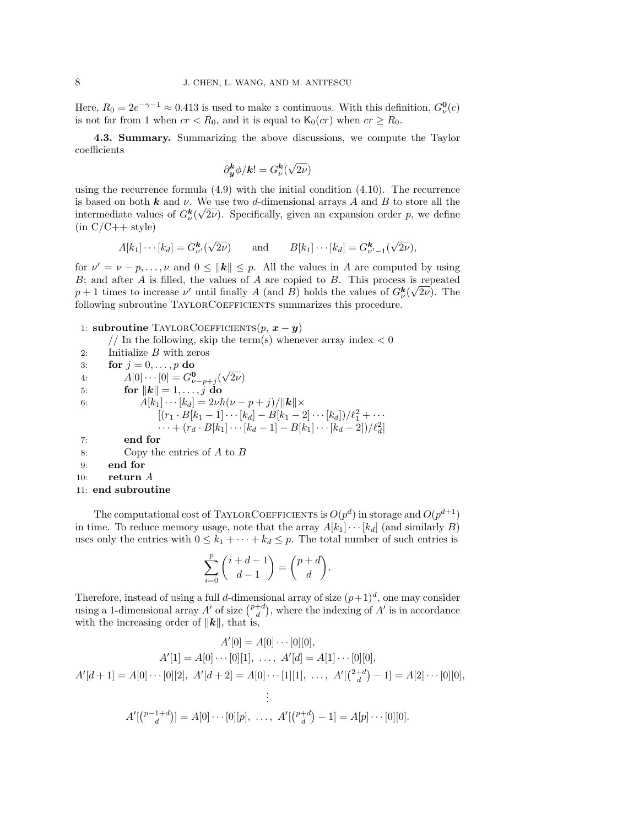Here,  $R_0 = 2e^{-\gamma - 1} \approx 0.413$  is used to make z continuous. With this definition,  $G^0_\nu(c)$ is not far from 1 when  $cr < R_0$ , and it is equal to  $\mathsf{K}_0 (cr)$  when  $cr \geq R_0$ .

4.3. Summary. Summarizing the above discussions, we compute the Taylor coefficients

$$
\partial_{\boldsymbol{y}}^{\boldsymbol{k}}\phi/\boldsymbol{k}!=G_{\nu}^{\boldsymbol{k}}(\sqrt{2\nu})
$$

using the recurrence formula (4.9) with the initial condition (4.10). The recurrence is based on both **k** and  $\nu$ . We use two d-dimensional arrays A and B to store all the intermediate values of  $G^{\mathbf{k}}_{\nu}(\sqrt{2\nu})$ . Specifically, given an expansion order p, we define  $(in C/C++ style)$ 

$$
A[k_1] \cdots [k_d] = G^{\mathbf{k}}_{\nu'}(\sqrt{2\nu})
$$
 and  $B[k_1] \cdots [k_d] = G^{\mathbf{k}}_{\nu'-1}(\sqrt{2\nu}),$ 

for  $\nu' = \nu - p, \ldots, \nu$  and  $0 \le ||\mathbf{k}|| \le p$ . All the values in A are computed by using B; and after A is filled, the values of A are copied to B. This process is repeated  $p+1$  times to increase  $\nu'$  until finally A (and B) holds the values of  $G^{\mathbf{k}}_{\nu}(\sqrt{2\nu})$ . The following subroutine TAYLORCOEFFICIENTS summarizes this procedure.

1: subroutine TAYLORCOEFFICIENTS $(p, x - y)$ 

// In the following, skip the term(s) whenever array index  $< 0$ 

- 2: Initialize B with zeros 3: for  $j = 0, \ldots, p$  do 4:  $A[0] \cdots [0] = G_{\nu - p + j}^{\mathbf{0}}($ √  $2\nu)$ 5: for  $\|\mathbf{k}\|=1,\ldots,\tilde{j} \,\,\mathbf{do}$ 6:  $A[k_1] \cdots [k_d] = 2\nu h(\nu - p + j) / ||\mathbf{k}|| \times$  $[(r_1 \cdot B[k_1-1] \cdots [k_d] - B[k_1-2] \cdots [k_d])/\ell_1^2 + \cdots]$  $\cdots + (r_d \cdot B[k_1] \cdots [k_d - 1] - B[k_1] \cdots [k_d - 2]) / \ell_d^2$ 7: end for 8: Copy the entries of  $A$  to  $B$ 9: end for 10:  $return A$
- 11: end subroutine

The computational cost of TAYLORCOEFFICIENTS is  $O(p^d)$  in storage and  $O(p^{d+1})$ in time. To reduce memory usage, note that the array  $A[k_1] \cdots [k_d]$  (and similarly B) uses only the entries with  $0 \leq k_1 + \cdots + k_d \leq p$ . The total number of such entries is

$$
\sum_{i=0}^p \binom{i+d-1}{d-1} = \binom{p+d}{d}.
$$

Therefore, instead of using a full d-dimensional array of size  $(p+1)^d$ , one may consider using a 1-dimensional array  $A'$  of size  $\binom{p+d}{d}$ , where the indexing of  $A'$  is in accordance with the increasing order of  $||\mathbf{k}||$ , that is,

$$
A'[0] = A[0] \cdots [0][0],
$$
  
\n
$$
A'[1] = A[0] \cdots [0][1], \dots, A'[d] = A[1] \cdots [0][0],
$$
  
\n
$$
A'[d+1] = A[0] \cdots [0][2], A'[d+2] = A[0] \cdots [1][1], \dots, A'[(2+d-1)] = A[2] \cdots [0][0],
$$
  
\n
$$
\vdots
$$
  
\n
$$
A'[(p-1+d)] = A[0] \cdots [0][p], \dots, A'[(p+d-1)] = A[p] \cdots [0][0].
$$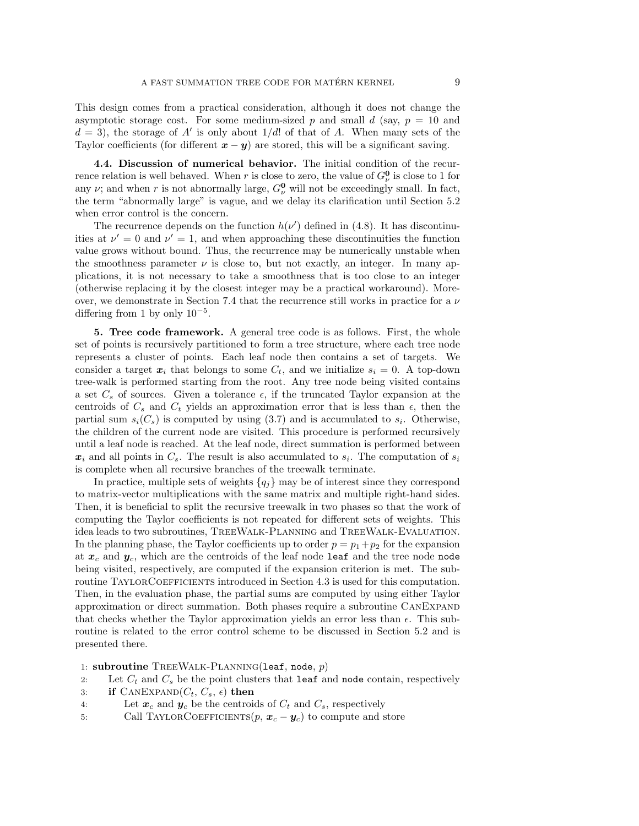This design comes from a practical consideration, although it does not change the asymptotic storage cost. For some medium-sized p and small d (say,  $p = 10$  and  $d = 3$ ), the storage of A' is only about  $1/d!$  of that of A. When many sets of the Taylor coefficients (for different  $x - y$ ) are stored, this will be a significant saving.

4.4. Discussion of numerical behavior. The initial condition of the recurrence relation is well behaved. When r is close to zero, the value of  $G_{\nu}^{\mathbf{0}}$  is close to 1 for any  $\nu$ ; and when r is not abnormally large,  $G_{\nu}^{0}$  will not be exceedingly small. In fact, the term "abnormally large" is vague, and we delay its clarification until Section 5.2 when error control is the concern.

The recurrence depends on the function  $h(\nu')$  defined in (4.8). It has discontinuities at  $\nu' = 0$  and  $\nu' = 1$ , and when approaching these discontinuities the function value grows without bound. Thus, the recurrence may be numerically unstable when the smoothness parameter  $\nu$  is close to, but not exactly, an integer. In many applications, it is not necessary to take a smoothness that is too close to an integer (otherwise replacing it by the closest integer may be a practical workaround). Moreover, we demonstrate in Section 7.4 that the recurrence still works in practice for a  $\nu$ differing from 1 by only  $10^{-5}$ .

5. Tree code framework. A general tree code is as follows. First, the whole set of points is recursively partitioned to form a tree structure, where each tree node represents a cluster of points. Each leaf node then contains a set of targets. We consider a target  $x_i$  that belongs to some  $C_t$ , and we initialize  $s_i = 0$ . A top-down tree-walk is performed starting from the root. Any tree node being visited contains a set  $C_s$  of sources. Given a tolerance  $\epsilon$ , if the truncated Taylor expansion at the centroids of  $C_s$  and  $C_t$  yields an approximation error that is less than  $\epsilon$ , then the partial sum  $s_i(C_s)$  is computed by using (3.7) and is accumulated to  $s_i$ . Otherwise, the children of the current node are visited. This procedure is performed recursively until a leaf node is reached. At the leaf node, direct summation is performed between  $x_i$  and all points in  $C_s$ . The result is also accumulated to  $s_i$ . The computation of  $s_i$ is complete when all recursive branches of the treewalk terminate.

In practice, multiple sets of weights  ${q_i}$  may be of interest since they correspond to matrix-vector multiplications with the same matrix and multiple right-hand sides. Then, it is beneficial to split the recursive treewalk in two phases so that the work of computing the Taylor coefficients is not repeated for different sets of weights. This idea leads to two subroutines, TreeWalk-Planning and TreeWalk-Evaluation. In the planning phase, the Taylor coefficients up to order  $p = p_1+p_2$  for the expansion at  $x_c$  and  $y_c$ , which are the centroids of the leaf node leaf and the tree node node being visited, respectively, are computed if the expansion criterion is met. The subroutine TAYLORCOEFFICIENTS introduced in Section 4.3 is used for this computation. Then, in the evaluation phase, the partial sums are computed by using either Taylor approximation or direct summation. Both phases require a subroutine CanExpand that checks whether the Taylor approximation yields an error less than  $\epsilon$ . This subroutine is related to the error control scheme to be discussed in Section 5.2 and is presented there.

1: subroutine TREEWALK-PLANNING(leaf, node,  $p$ )

- 2: Let  $C_t$  and  $C_s$  be the point clusters that leaf and node contain, respectively
- 3: if  $\text{CANEXPAND}(C_t, C_s, \epsilon)$  then
- 4: Let  $x_c$  and  $y_c$  be the centroids of  $C_t$  and  $C_s$ , respectively
- 5: Call TAYLORCOEFFICIENTS $(p, x_c y_c)$  to compute and store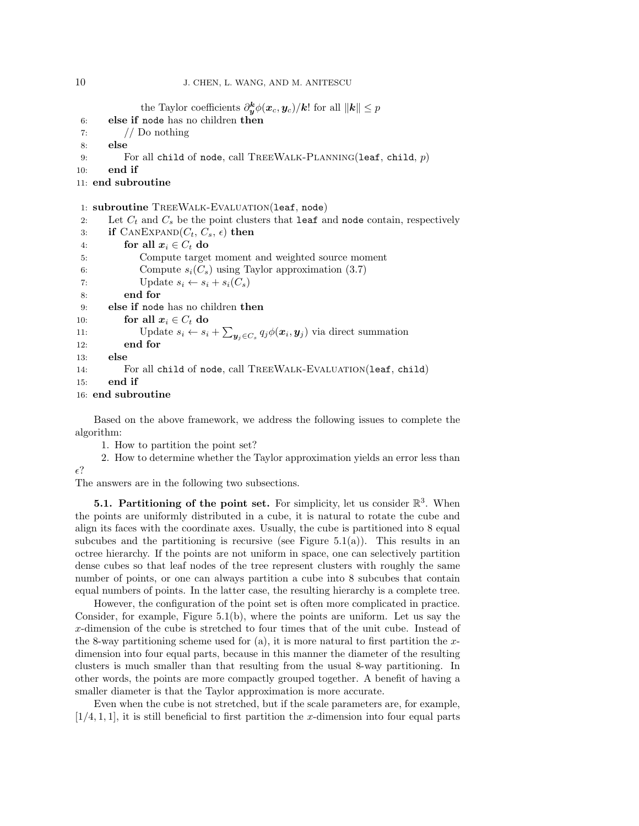the Taylor coefficients  $\partial_{\bm{y}}^{\bm{k}} \phi(\bm{x}_c, \bm{y}_c)/\bm{k}!$  for all  $\|\bm{k}\| \leq p$ 6: else if node has no children then 7:  $//$  Do nothing 8: else 9: For all child of node, call TREEWALK-PLANNING(leaf, child,  $p$ ) 10: end if 11: end subroutine 1: subroutine TreeWalk-Evaluation(leaf, node) 2: Let  $C_t$  and  $C_s$  be the point clusters that leaf and node contain, respectively 3: if  $\text{CANEXPAND}(C_t, C_s, \epsilon)$  then 4: for all  $x_i \in C_t$  do 5: Compute target moment and weighted source moment 6: Compute  $s_i(C_s)$  using Taylor approximation (3.7) 7: Update  $s_i \leftarrow s_i + s_i(C_s)$ 8: end for 9: else if node has no children then 10: for all  $x_i \in C_t$  do 11: Update  $s_i \leftarrow s_i + \sum_{\mathbf{y}_j \in C_s} q_j \phi(\mathbf{x}_i, \mathbf{y}_j)$  via direct summation 12: end for 13: else 14: For all child of node, call TreeWalk-Evaluation(leaf, child) 15: end if

16: end subroutine

 $\epsilon$ ?

Based on the above framework, we address the following issues to complete the algorithm:

1. How to partition the point set?

2. How to determine whether the Taylor approximation yields an error less than

The answers are in the following two subsections.

**5.1. Partitioning of the point set.** For simplicity, let us consider  $\mathbb{R}^3$ . When the points are uniformly distributed in a cube, it is natural to rotate the cube and align its faces with the coordinate axes. Usually, the cube is partitioned into 8 equal subcubes and the partitioning is recursive (see Figure 5.1(a)). This results in an octree hierarchy. If the points are not uniform in space, one can selectively partition dense cubes so that leaf nodes of the tree represent clusters with roughly the same number of points, or one can always partition a cube into 8 subcubes that contain equal numbers of points. In the latter case, the resulting hierarchy is a complete tree.

However, the configuration of the point set is often more complicated in practice. Consider, for example, Figure  $5.1(b)$ , where the points are uniform. Let us say the x-dimension of the cube is stretched to four times that of the unit cube. Instead of the 8-way partitioning scheme used for  $(a)$ , it is more natural to first partition the xdimension into four equal parts, because in this manner the diameter of the resulting clusters is much smaller than that resulting from the usual 8-way partitioning. In other words, the points are more compactly grouped together. A benefit of having a smaller diameter is that the Taylor approximation is more accurate.

Even when the cube is not stretched, but if the scale parameters are, for example,  $[1/4, 1, 1]$ , it is still beneficial to first partition the x-dimension into four equal parts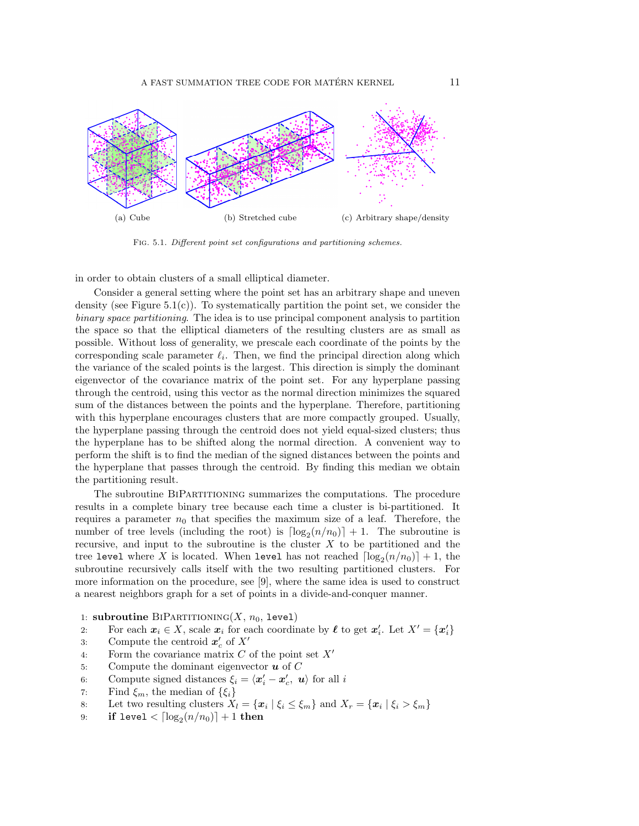

Fig. 5.1. Different point set configurations and partitioning schemes.

in order to obtain clusters of a small elliptical diameter.

Consider a general setting where the point set has an arbitrary shape and uneven density (see Figure 5.1(c)). To systematically partition the point set, we consider the binary space partitioning. The idea is to use principal component analysis to partition the space so that the elliptical diameters of the resulting clusters are as small as possible. Without loss of generality, we prescale each coordinate of the points by the corresponding scale parameter  $\ell_i$ . Then, we find the principal direction along which the variance of the scaled points is the largest. This direction is simply the dominant eigenvector of the covariance matrix of the point set. For any hyperplane passing through the centroid, using this vector as the normal direction minimizes the squared sum of the distances between the points and the hyperplane. Therefore, partitioning with this hyperplane encourages clusters that are more compactly grouped. Usually, the hyperplane passing through the centroid does not yield equal-sized clusters; thus the hyperplane has to be shifted along the normal direction. A convenient way to perform the shift is to find the median of the signed distances between the points and the hyperplane that passes through the centroid. By finding this median we obtain the partitioning result.

The subroutine BiPartitioning summarizes the computations. The procedure results in a complete binary tree because each time a cluster is bi-partitioned. It requires a parameter  $n_0$  that specifies the maximum size of a leaf. Therefore, the number of tree levels (including the root) is  $\lceil \log_2(n/n_0) \rceil + 1$ . The subroutine is recursive, and input to the subroutine is the cluster  $X$  to be partitioned and the tree level where X is located. When level has not reached  $\lceil \log_2(n/n_0) \rceil + 1$ , the subroutine recursively calls itself with the two resulting partitioned clusters. For more information on the procedure, see [9], where the same idea is used to construct a nearest neighbors graph for a set of points in a divide-and-conquer manner.

- 1: subroutine BIPARTITIONING(X,  $n_0$ , level)
- 2: For each  $x_i \in X$ , scale  $x_i$  for each coordinate by  $\ell$  to get  $x'_i$ . Let  $X' = \{x'_i\}$
- 3: Compute the centroid  $x'_c$  of  $X'$
- 4: Form the covariance matrix  $C$  of the point set  $X'$
- 5: Compute the dominant eigenvector  $\boldsymbol{u}$  of  $C$
- 6: Compute signed distances  $\xi_i = \langle \mathbf{x}'_i \mathbf{x}'_c, \mathbf{u} \rangle$  for all i
- 7: Find  $\xi_m$ , the median of  $\{\xi_i\}$
- 8: Let two resulting clusters  $X_l = \{x_i \mid \xi_i \leq \xi_m\}$  and  $X_r = \{x_i \mid \xi_i > \xi_m\}$
- 9: if level  $< \lceil \log_2(n/n_0) \rceil + 1$  then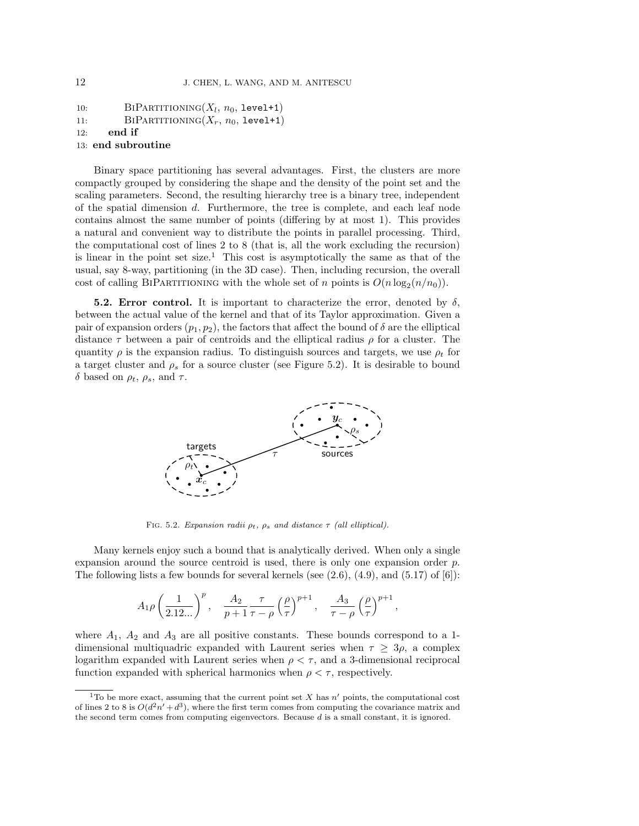```
10: BIPARTITIONING(X_l, n_0, \text{level+1})11: BIPARTITIONING(X_r, n_0, level+1)12: end if
13: end subroutine
```
Binary space partitioning has several advantages. First, the clusters are more compactly grouped by considering the shape and the density of the point set and the scaling parameters. Second, the resulting hierarchy tree is a binary tree, independent of the spatial dimension d. Furthermore, the tree is complete, and each leaf node contains almost the same number of points (differing by at most 1). This provides a natural and convenient way to distribute the points in parallel processing. Third, the computational cost of lines 2 to 8 (that is, all the work excluding the recursion) is linear in the point set size.<sup>1</sup> This cost is asymptotically the same as that of the usual, say 8-way, partitioning (in the 3D case). Then, including recursion, the overall cost of calling BIPARTITIONING with the whole set of n points is  $O(n \log_2(n/n_0))$ .

**5.2. Error control.** It is important to characterize the error, denoted by  $\delta$ , between the actual value of the kernel and that of its Taylor approximation. Given a pair of expansion orders  $(p_1, p_2)$ , the factors that affect the bound of  $\delta$  are the elliptical distance  $\tau$  between a pair of centroids and the elliptical radius  $\rho$  for a cluster. The quantity  $\rho$  is the expansion radius. To distinguish sources and targets, we use  $\rho_t$  for a target cluster and  $\rho_s$  for a source cluster (see Figure 5.2). It is desirable to bound δ based on  $ρ_t$ ,  $ρ_s$ , and  $τ$ .



FIG. 5.2. Expansion radii  $\rho_t$ ,  $\rho_s$  and distance  $\tau$  (all elliptical).

Many kernels enjoy such a bound that is analytically derived. When only a single expansion around the source centroid is used, there is only one expansion order p. The following lists a few bounds for several kernels (see  $(2.6)$ ,  $(4.9)$ , and  $(5.17)$  of  $(6)$ ):

$$
A_1 \rho \left(\frac{1}{2.12...}\right)^p, \quad \frac{A_2}{p+1} \frac{\tau}{\tau-\rho} \left(\frac{\rho}{\tau}\right)^{p+1}, \quad \frac{A_3}{\tau-\rho} \left(\frac{\rho}{\tau}\right)^{p+1},
$$

where  $A_1$ ,  $A_2$  and  $A_3$  are all positive constants. These bounds correspond to a 1dimensional multiquadric expanded with Laurent series when  $\tau \geq 3\rho$ , a complex logarithm expanded with Laurent series when  $\rho < \tau$ , and a 3-dimensional reciprocal function expanded with spherical harmonics when  $\rho < \tau$ , respectively.

<sup>&</sup>lt;sup>1</sup>To be more exact, assuming that the current point set X has  $n'$  points, the computational cost of lines 2 to 8 is  $O(d^2n' + d^3)$ , where the first term comes from computing the covariance matrix and the second term comes from computing eigenvectors. Because d is a small constant, it is ignored.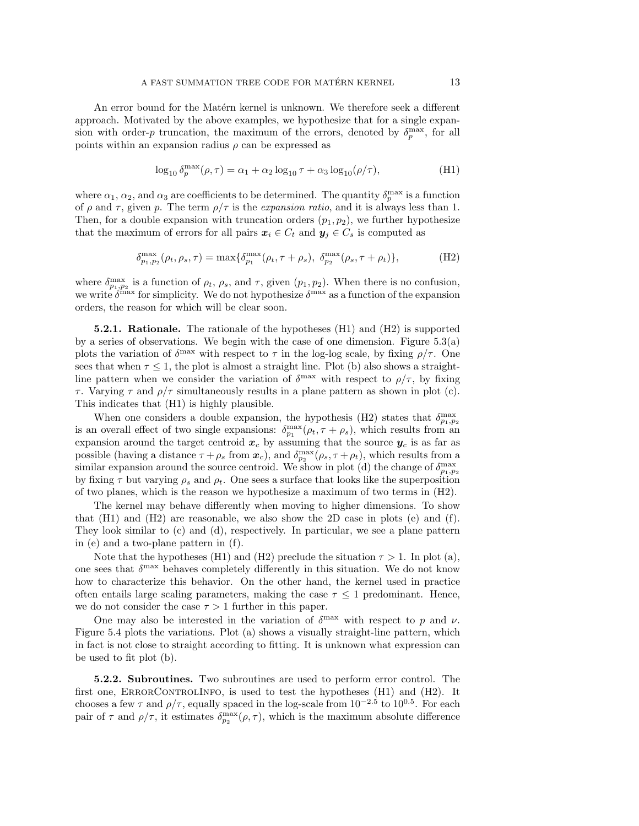An error bound for the Matérn kernel is unknown. We therefore seek a different approach. Motivated by the above examples, we hypothesize that for a single expansion with order-p truncation, the maximum of the errors, denoted by  $\delta_p^{\max}$ , for all points within an expansion radius  $\rho$  can be expressed as

$$
\log_{10} \delta_p^{\max}(\rho, \tau) = \alpha_1 + \alpha_2 \log_{10} \tau + \alpha_3 \log_{10} (\rho/\tau), \tag{H1}
$$

where  $\alpha_1, \alpha_2$ , and  $\alpha_3$  are coefficients to be determined. The quantity  $\delta_p^{\max}$  is a function of  $\rho$  and  $\tau$ , given p. The term  $\rho/\tau$  is the expansion ratio, and it is always less than 1. Then, for a double expansion with truncation orders  $(p_1, p_2)$ , we further hypothesize that the maximum of errors for all pairs  $x_i \in C_t$  and  $y_j \in C_s$  is computed as

$$
\delta_{p_1,p_2}^{\max}(\rho_t,\rho_s,\tau) = \max\{\delta_{p_1}^{\max}(\rho_t,\tau+\rho_s), \ \delta_{p_2}^{\max}(\rho_s,\tau+\rho_t)\},\tag{H2}
$$

where  $\delta_{p_1,p_2}^{\max}$  is a function of  $\rho_t$ ,  $\rho_s$ , and  $\tau$ , given  $(p_1,p_2)$ . When there is no confusion, we write  $\delta^{\max}$  for simplicity. We do not hypothesize  $\delta^{\max}$  as a function of the expansion orders, the reason for which will be clear soon.

**5.2.1. Rationale.** The rationale of the hypotheses  $(H1)$  and  $(H2)$  is supported by a series of observations. We begin with the case of one dimension. Figure 5.3(a) plots the variation of  $\delta^{\max}$  with respect to  $\tau$  in the log-log scale, by fixing  $\rho/\tau$ . One sees that when  $\tau \leq 1$ , the plot is almost a straight line. Plot (b) also shows a straightline pattern when we consider the variation of  $\delta^{\text{max}}$  with respect to  $\rho/\tau$ , by fixing τ. Varying τ and  $ρ/τ$  simultaneously results in a plane pattern as shown in plot (c). This indicates that (H1) is highly plausible.

When one considers a double expansion, the hypothesis (H2) states that  $\delta_{p_1,p_2}^{\max}$ is an overall effect of two single expansions:  $\delta_{p_1}^{\max}(\rho_t, \tau + \rho_s)$ , which results from an expansion around the target centroid  $x_c$  by assuming that the source  $y_c$  is as far as possible (having a distance  $\tau + \rho_s$  from  $\mathbf{x}_c$ ), and  $\delta_{p_2}^{\max}(\rho_s, \tau + \rho_t)$ , which results from a similar expansion around the source centroid. We show in plot (d) the change of  $\delta_{p_1,p_2}^{\max}$ by fixing  $\tau$  but varying  $\rho_s$  and  $\rho_t$ . One sees a surface that looks like the superposition of two planes, which is the reason we hypothesize a maximum of two terms in (H2).

The kernel may behave differently when moving to higher dimensions. To show that  $(H1)$  and  $(H2)$  are reasonable, we also show the 2D case in plots  $(e)$  and  $(f)$ . They look similar to (c) and (d), respectively. In particular, we see a plane pattern in (e) and a two-plane pattern in (f).

Note that the hypotheses (H1) and (H2) preclude the situation  $\tau > 1$ . In plot (a), one sees that  $\delta^{\max}$  behaves completely differently in this situation. We do not know how to characterize this behavior. On the other hand, the kernel used in practice often entails large scaling parameters, making the case  $\tau \leq 1$  predominant. Hence, we do not consider the case  $\tau > 1$  further in this paper.

One may also be interested in the variation of  $\delta^{\max}$  with respect to p and v. Figure 5.4 plots the variations. Plot (a) shows a visually straight-line pattern, which in fact is not close to straight according to fitting. It is unknown what expression can be used to fit plot (b).

5.2.2. Subroutines. Two subroutines are used to perform error control. The first one, ErrorControlInfo, is used to test the hypotheses (H1) and (H2). It chooses a few  $\tau$  and  $\rho/\tau$ , equally spaced in the log-scale from  $10^{-2.5}$  to  $10^{0.5}$ . For each pair of  $\tau$  and  $\rho/\tau$ , it estimates  $\delta_{p_2}^{\max}(\rho,\tau)$ , which is the maximum absolute difference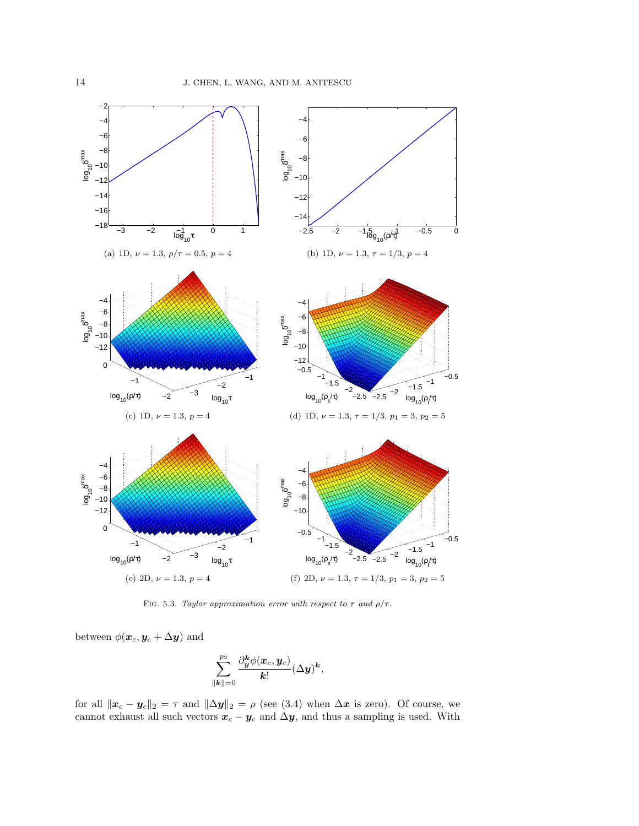

FIG. 5.3. Taylor approximation error with respect to  $\tau$  and  $\rho/\tau$ .

between  $\phi(\boldsymbol{x}_c, \boldsymbol{y}_c + \Delta \boldsymbol{y})$  and

$$
\sum_{\pmb{\|\boldsymbol{k}\|=0}}^{p_2}\frac{\partial_{\boldsymbol{y}}^{\boldsymbol{k}}\phi(\boldsymbol{x}_c,\boldsymbol{y}_c)}{\boldsymbol{k}!}(\Delta \boldsymbol{y})^{\boldsymbol{k}},
$$

for all  $\|\boldsymbol{x}_c - \boldsymbol{y}_c\|_2 = \tau$  and  $\|\Delta \boldsymbol{y}\|_2 = \rho$  (see (3.4) when  $\Delta \boldsymbol{x}$  is zero). Of course, we cannot exhaust all such vectors  $x_c - y_c$  and  $\Delta y$ , and thus a sampling is used. With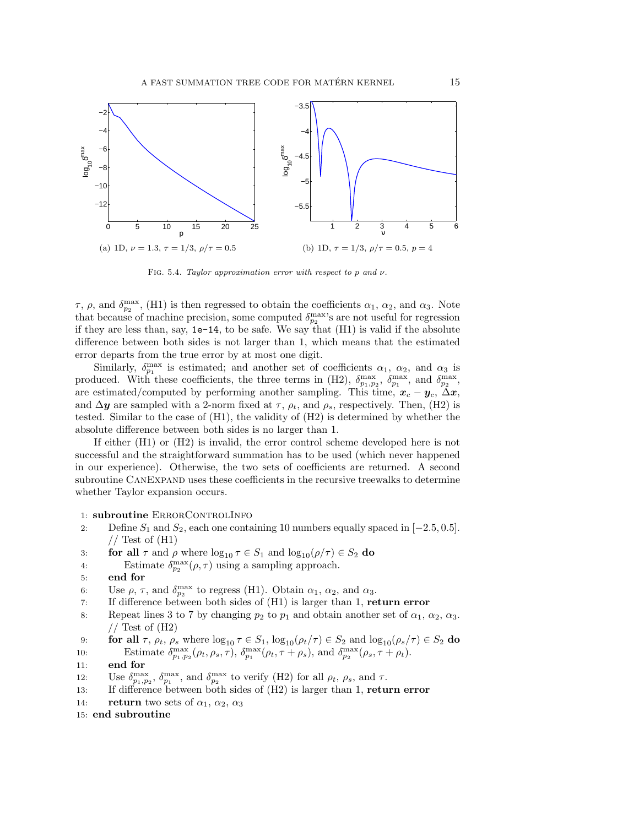

FIG. 5.4. Taylor approximation error with respect to p and  $\nu$ .

τ, ρ, and  $\delta_{p_2}^{\max}$ , (H1) is then regressed to obtain the coefficients  $\alpha_1$ ,  $\alpha_2$ , and  $\alpha_3$ . Note that because of machine precision, some computed  $\delta_{p_2}^{\max}$ 's are not useful for regression if they are less than, say,  $1e-14$ , to be safe. We say that  $(H1)$  is valid if the absolute difference between both sides is not larger than 1, which means that the estimated error departs from the true error by at most one digit.

Similarly,  $\delta_{p_1}^{\max}$  is estimated; and another set of coefficients  $\alpha_1$ ,  $\alpha_2$ , and  $\alpha_3$  is produced. With these coefficients, the three terms in (H2),  $\delta_{p_1,p_2}^{\max}$ ,  $\delta_{p_1}^{\max}$ , and  $\delta_{p_2}^{\max}$ , are estimated/computed by performing another sampling. This time,  $x_c - y_c$ ,  $\Delta x$ , and  $\Delta y$  are sampled with a 2-norm fixed at  $\tau$ ,  $\rho_t$ , and  $\rho_s$ , respectively. Then, (H2) is tested. Similar to the case of (H1), the validity of (H2) is determined by whether the absolute difference between both sides is no larger than 1.

If either (H1) or (H2) is invalid, the error control scheme developed here is not successful and the straightforward summation has to be used (which never happened in our experience). Otherwise, the two sets of coefficients are returned. A second subroutine CanExpand uses these coefficients in the recursive treewalks to determine whether Taylor expansion occurs.

## 1: subroutine ERRORCONTROLINFO

- 2: Define  $S_1$  and  $S_2$ , each one containing 10 numbers equally spaced in  $[-2.5, 0.5]$ .  $//$  Test of  $(H1)$
- 3: **for all**  $\tau$  and  $\rho$  where  $\log_{10} \tau \in S_1$  and  $\log_{10}(\rho/\tau) \in S_2$  **do**
- 4: Estimate  $\delta_{p_2}^{\max}(\rho, \tau)$  using a sampling approach.
- 5: end for
- 6: Use  $\rho$ ,  $\tau$ , and  $\delta_{p_2}^{\max}$  to regress (H1). Obtain  $\alpha_1$ ,  $\alpha_2$ , and  $\alpha_3$ .
- 7: If difference between both sides of (H1) is larger than 1, return error
- 8: Repeat lines 3 to 7 by changing  $p_2$  to  $p_1$  and obtain another set of  $\alpha_1, \alpha_2, \alpha_3$ .  $//$  Test of  $(H2)$
- 9: **for all**  $\tau$ ,  $\rho_t$ ,  $\rho_s$  where  $\log_{10} \tau \in S_1$ ,  $\log_{10}(\rho_t/\tau) \in S_2$  and  $\log_{10}(\rho_s/\tau) \in S_2$  **do** 10: Estimate  $\delta_{p_1,p_2}^{\max}(\rho_t, \rho_s, \tau)$ ,  $\delta_{p_1}^{\max}(\rho_t, \tau + \rho_s)$ , and  $\delta_{p_2}^{\max}(\rho_s, \tau + \rho_t)$ .
- 11: end for
- 12: Use  $\delta_{p_1,p_2}^{\max}$ ,  $\delta_{p_1}^{\max}$ , and  $\delta_{p_2}^{\max}$  to verify (H2) for all  $\rho_t$ ,  $\rho_s$ , and  $\tau$ .
- 13: If difference between both sides of  $(H2)$  is larger than 1, return error
- 14: **return** two sets of  $\alpha_1$ ,  $\alpha_2$ ,  $\alpha_3$

15: end subroutine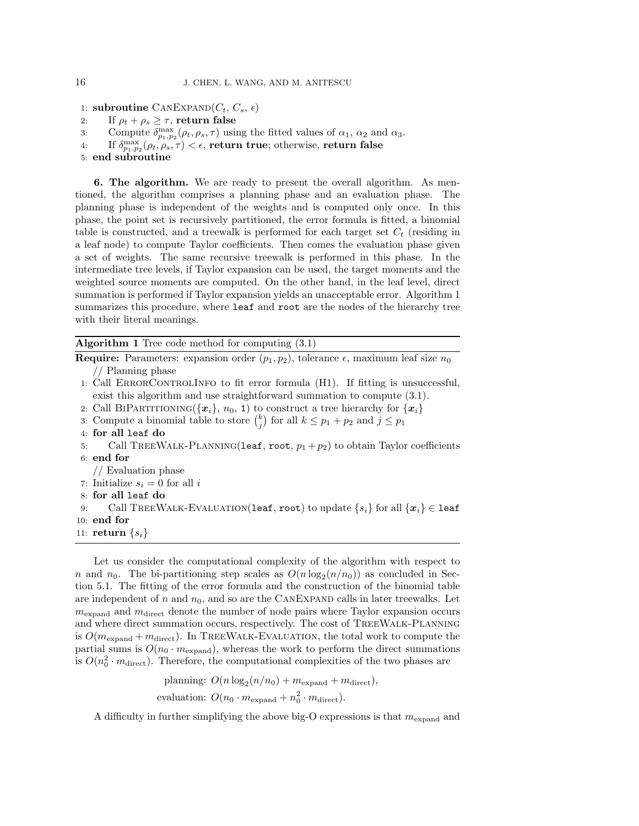1: subroutine CANEXPAND $(C_t, C_s, \epsilon)$ 

- 2: If  $\rho_t + \rho_s \geq \tau$ , return false
- 3: Compute  $\delta_{p_1,p_2}^{\max}(\rho_t,\rho_s,\tau)$  using the fitted values of  $\alpha_1, \alpha_2$  and  $\alpha_3$ .
- 4: If  $\delta_{p_1,p_2}^{\max}(\rho_t,\rho_s,\tau)<\epsilon$ , return true; otherwise, return false
- 5: end subroutine

6. The algorithm. We are ready to present the overall algorithm. As mentioned, the algorithm comprises a planning phase and an evaluation phase. The planning phase is independent of the weights and is computed only once. In this phase, the point set is recursively partitioned, the error formula is fitted, a binomial table is constructed, and a treewalk is performed for each target set  $C_t$  (residing in a leaf node) to compute Taylor coefficients. Then comes the evaluation phase given a set of weights. The same recursive treewalk is performed in this phase. In the intermediate tree levels, if Taylor expansion can be used, the target moments and the weighted source moments are computed. On the other hand, in the leaf level, direct summation is performed if Taylor expansion yields an unacceptable error. Algorithm 1 summarizes this procedure, where leaf and root are the nodes of the hierarchy tree with their literal meanings.

Algorithm 1 Tree code method for computing (3.1)

**Require:** Parameters: expansion order  $(p_1, p_2)$ , tolerance  $\epsilon$ , maximum leaf size  $n_0$ // Planning phase

- 1: Call ErrorControlInfo to fit error formula (H1). If fitting is unsuccessful, exist this algorithm and use straightforward summation to compute (3.1).
- 2: Call BIPARTITIONING( ${x_i}$ ,  $n_0$ , 1) to construct a tree hierarchy for  ${x_i}$
- 3: Compute a binomial table to store  $\binom{k}{j}$  for all  $k \leq p_1 + p_2$  and  $j \leq p_1$
- 4: for all leaf do
- 5: Call TREEWALK-PLANNING(leaf, root,  $p_1 + p_2$ ) to obtain Taylor coefficients 6: end for
- // Evaluation phase
- 7: Initialize  $s_i = 0$  for all i
- 8: for all leaf do

9: Call TREEWALK-EVALUATION(leaf, root) to update  $\{s_i\}$  for all  $\{x_i\} \in$  leaf 10: end for

11: return  $\{s_i\}$ 

Let us consider the computational complexity of the algorithm with respect to n and  $n_0$ . The bi-partitioning step scales as  $O(n \log_2(n/n_0))$  as concluded in Section 5.1. The fitting of the error formula and the construction of the binomial table are independent of n and  $n_0$ , and so are the CANEXPAND calls in later treewalks. Let  $m_{\text{expand}}$  and  $m_{\text{direct}}$  denote the number of node pairs where Taylor expansion occurs and where direct summation occurs, respectively. The cost of TreeWalk-Planning is  $O(m_{\text{expand}} + m_{\text{direct}})$ . In TREEWALK-EVALUATION, the total work to compute the partial sums is  $O(n_0 \cdot m_{\text{expand}})$ , whereas the work to perform the direct summations is  $O(n_0^2 \cdot m_{\text{direct}})$ . Therefore, the computational complexities of the two phases are

> planning:  $O(n \log_2(n/n_0) + m_{\text{expand}} + m_{\text{direct}}),$ evaluation:  $O(n_0 \cdot m_{\text{expand}} + n_0^2 \cdot m_{\text{direct}}).$

A difficulty in further simplifying the above big-O expressions is that  $m_{\text{expand}}$  and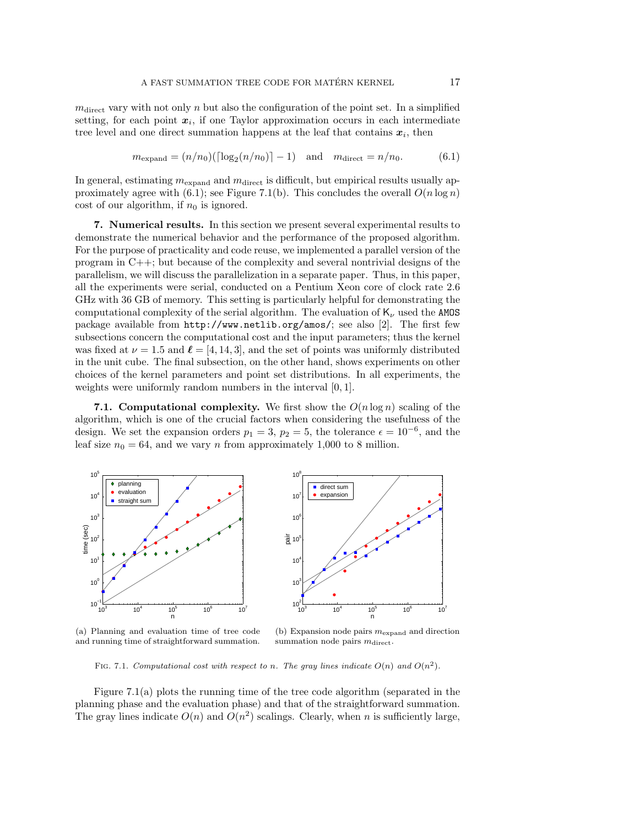$m_{\text{direct}}$  vary with not only n but also the configuration of the point set. In a simplified setting, for each point  $x_i$ , if one Taylor approximation occurs in each intermediate tree level and one direct summation happens at the leaf that contains  $x_i$ , then

$$
m_{\text{expand}} = (n/n_0)(\lceil \log_2(n/n_0) \rceil - 1)
$$
 and  $m_{\text{direct}} = n/n_0.$  (6.1)

In general, estimating  $m_{\text{expand}}$  and  $m_{\text{direct}}$  is difficult, but empirical results usually approximately agree with (6.1); see Figure 7.1(b). This concludes the overall  $O(n \log n)$ cost of our algorithm, if  $n_0$  is ignored.

7. Numerical results. In this section we present several experimental results to demonstrate the numerical behavior and the performance of the proposed algorithm. For the purpose of practicality and code reuse, we implemented a parallel version of the program in C++; but because of the complexity and several nontrivial designs of the parallelism, we will discuss the parallelization in a separate paper. Thus, in this paper, all the experiments were serial, conducted on a Pentium Xeon core of clock rate 2.6 GHz with 36 GB of memory. This setting is particularly helpful for demonstrating the computational complexity of the serial algorithm. The evaluation of  $K_{\nu}$  used the AMOS package available from http://www.netlib.org/amos/; see also [2]. The first few subsections concern the computational cost and the input parameters; thus the kernel was fixed at  $\nu = 1.5$  and  $\ell = [4, 14, 3]$ , and the set of points was uniformly distributed in the unit cube. The final subsection, on the other hand, shows experiments on other choices of the kernel parameters and point set distributions. In all experiments, the weights were uniformly random numbers in the interval [0, 1].

7.1. Computational complexity. We first show the  $O(n \log n)$  scaling of the algorithm, which is one of the crucial factors when considering the usefulness of the design. We set the expansion orders  $p_1 = 3$ ,  $p_2 = 5$ , the tolerance  $\epsilon = 10^{-6}$ , and the leaf size  $n_0 = 64$ , and we vary n from approximately 1,000 to 8 million.



(a) Planning and evaluation time of tree code and running time of straightforward summation.

(b) Expansion node pairs  $m_{\text{expand}}$  and direction summation node pairs  $m_{\text{direct}}$ .

FIG. 7.1. Computational cost with respect to n. The gray lines indicate  $O(n)$  and  $O(n^2)$ .

Figure 7.1(a) plots the running time of the tree code algorithm (separated in the planning phase and the evaluation phase) and that of the straightforward summation. The gray lines indicate  $O(n)$  and  $O(n^2)$  scalings. Clearly, when n is sufficiently large,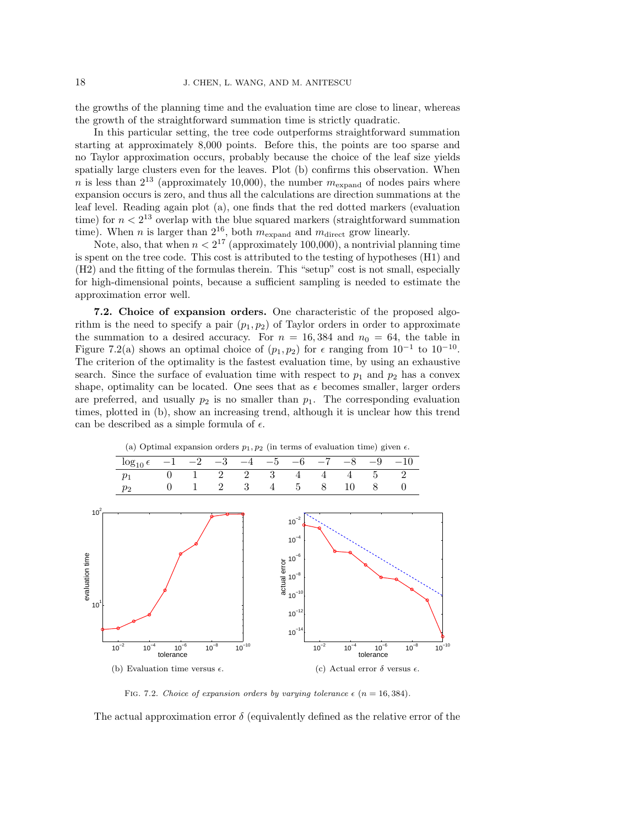the growths of the planning time and the evaluation time are close to linear, whereas the growth of the straightforward summation time is strictly quadratic.

In this particular setting, the tree code outperforms straightforward summation starting at approximately 8,000 points. Before this, the points are too sparse and no Taylor approximation occurs, probably because the choice of the leaf size yields spatially large clusters even for the leaves. Plot (b) confirms this observation. When n is less than  $2^{13}$  (approximately 10,000), the number  $m_{\text{expand}}$  of nodes pairs where expansion occurs is zero, and thus all the calculations are direction summations at the leaf level. Reading again plot (a), one finds that the red dotted markers (evaluation time) for  $n < 2^{13}$  overlap with the blue squared markers (straightforward summation time). When *n* is larger than  $2^{16}$ , both  $m_{\text{expand}}$  and  $m_{\text{direct}}$  grow linearly.

Note, also, that when  $n < 2^{17}$  (approximately 100,000), a nontrivial planning time is spent on the tree code. This cost is attributed to the testing of hypotheses (H1) and (H2) and the fitting of the formulas therein. This "setup" cost is not small, especially for high-dimensional points, because a sufficient sampling is needed to estimate the approximation error well.

7.2. Choice of expansion orders. One characteristic of the proposed algorithm is the need to specify a pair  $(p_1, p_2)$  of Taylor orders in order to approximate the summation to a desired accuracy. For  $n = 16,384$  and  $n_0 = 64$ , the table in Figure 7.2(a) shows an optimal choice of  $(p_1, p_2)$  for  $\epsilon$  ranging from  $10^{-1}$  to  $10^{-10}$ . The criterion of the optimality is the fastest evaluation time, by using an exhaustive search. Since the surface of evaluation time with respect to  $p_1$  and  $p_2$  has a convex shape, optimality can be located. One sees that as  $\epsilon$  becomes smaller, larger orders are preferred, and usually  $p_2$  is no smaller than  $p_1$ . The corresponding evaluation times, plotted in (b), show an increasing trend, although it is unclear how this trend can be described as a simple formula of  $\epsilon$ .



(a) Optimal expansion orders  $p_1, p_2$  (in terms of evaluation time) given  $\epsilon$ .

FIG. 7.2. Choice of expansion orders by varying tolerance  $\epsilon$  (n = 16, 384).

The actual approximation error  $\delta$  (equivalently defined as the relative error of the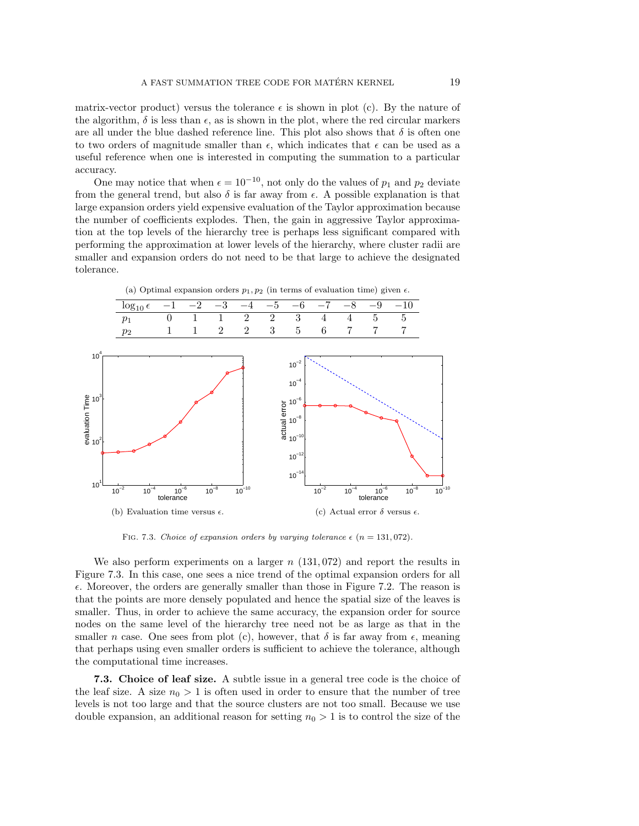matrix-vector product) versus the tolerance  $\epsilon$  is shown in plot (c). By the nature of the algorithm,  $\delta$  is less than  $\epsilon$ , as is shown in the plot, where the red circular markers are all under the blue dashed reference line. This plot also shows that  $\delta$  is often one to two orders of magnitude smaller than  $\epsilon$ , which indicates that  $\epsilon$  can be used as a useful reference when one is interested in computing the summation to a particular accuracy.

One may notice that when  $\epsilon = 10^{-10}$ , not only do the values of  $p_1$  and  $p_2$  deviate from the general trend, but also  $\delta$  is far away from  $\epsilon$ . A possible explanation is that large expansion orders yield expensive evaluation of the Taylor approximation because the number of coefficients explodes. Then, the gain in aggressive Taylor approximation at the top levels of the hierarchy tree is perhaps less significant compared with performing the approximation at lower levels of the hierarchy, where cluster radii are smaller and expansion orders do not need to be that large to achieve the designated tolerance.



(a) Optimal expansion orders  $p_1, p_2$  (in terms of evaluation time) given  $\epsilon$ .

FIG. 7.3. Choice of expansion orders by varying tolerance  $\epsilon$  (n = 131,072).

We also perform experiments on a larger  $n(131, 072)$  and report the results in Figure 7.3. In this case, one sees a nice trend of the optimal expansion orders for all  $\epsilon$ . Moreover, the orders are generally smaller than those in Figure 7.2. The reason is that the points are more densely populated and hence the spatial size of the leaves is smaller. Thus, in order to achieve the same accuracy, the expansion order for source nodes on the same level of the hierarchy tree need not be as large as that in the smaller n case. One sees from plot (c), however, that  $\delta$  is far away from  $\epsilon$ , meaning that perhaps using even smaller orders is sufficient to achieve the tolerance, although the computational time increases.

7.3. Choice of leaf size. A subtle issue in a general tree code is the choice of the leaf size. A size  $n_0 > 1$  is often used in order to ensure that the number of tree levels is not too large and that the source clusters are not too small. Because we use double expansion, an additional reason for setting  $n_0 > 1$  is to control the size of the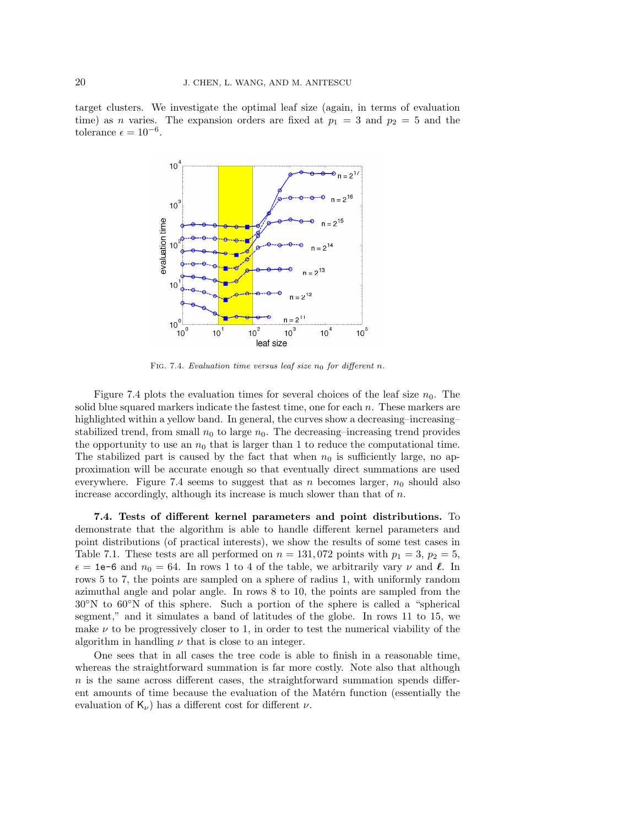target clusters. We investigate the optimal leaf size (again, in terms of evaluation time) as *n* varies. The expansion orders are fixed at  $p_1 = 3$  and  $p_2 = 5$  and the tolerance  $\epsilon = 10^{-6}$ .



FIG. 7.4. Evaluation time versus leaf size  $n_0$  for different n.

Figure 7.4 plots the evaluation times for several choices of the leaf size  $n_0$ . The solid blue squared markers indicate the fastest time, one for each  $n$ . These markers are highlighted within a yellow band. In general, the curves show a decreasing–increasing– stabilized trend, from small  $n_0$  to large  $n_0$ . The decreasing–increasing trend provides the opportunity to use an  $n_0$  that is larger than 1 to reduce the computational time. The stabilized part is caused by the fact that when  $n_0$  is sufficiently large, no approximation will be accurate enough so that eventually direct summations are used everywhere. Figure 7.4 seems to suggest that as n becomes larger,  $n_0$  should also increase accordingly, although its increase is much slower than that of  $n$ .

7.4. Tests of different kernel parameters and point distributions. To demonstrate that the algorithm is able to handle different kernel parameters and point distributions (of practical interests), we show the results of some test cases in Table 7.1. These tests are all performed on  $n = 131,072$  points with  $p_1 = 3$ ,  $p_2 = 5$ ,  $\epsilon = 1$ e-6 and  $n_0 = 64$ . In rows 1 to 4 of the table, we arbitrarily vary  $\nu$  and  $\ell$ . In rows 5 to 7, the points are sampled on a sphere of radius 1, with uniformly random azimuthal angle and polar angle. In rows 8 to 10, the points are sampled from the 30◦N to 60◦N of this sphere. Such a portion of the sphere is called a "spherical segment," and it simulates a band of latitudes of the globe. In rows 11 to 15, we make  $\nu$  to be progressively closer to 1, in order to test the numerical viability of the algorithm in handling  $\nu$  that is close to an integer.

One sees that in all cases the tree code is able to finish in a reasonable time, whereas the straightforward summation is far more costly. Note also that although n is the same across different cases, the straightforward summation spends different amounts of time because the evaluation of the Matérn function (essentially the evaluation of  $K_{\nu}$ ) has a different cost for different  $\nu$ .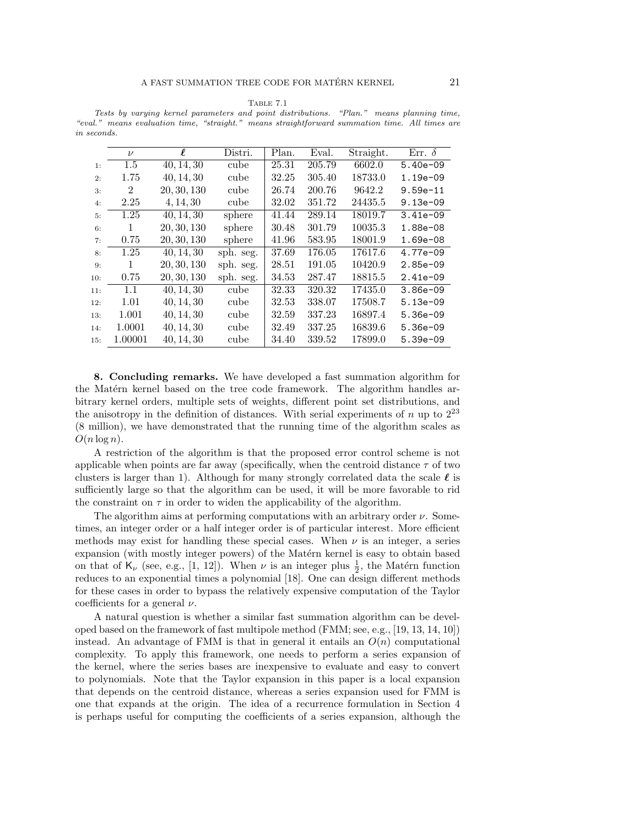Table 7.1

Tests by varying kernel parameters and point distributions. "Plan." means planning time, "eval." means evaluation time, "straight." means straightforward summation time. All times are in seconds.

|     | $\nu$   | $\ell$                  | Distri.   | Plan. | Eval.  | Straight. | Err. $\delta$ |
|-----|---------|-------------------------|-----------|-------|--------|-----------|---------------|
| 1:  | 1.5     | 40, 14, 30              | cube      | 25.31 | 205.79 | 6602.0    | $5.40e-09$    |
| 2:  | 1.75    | 40, 14, 30              | cube      | 32.25 | 305.40 | 18733.0   | $1.19e-09$    |
| 3:  | 2       | 20, 30, 130             | cube      | 26.74 | 200.76 | 9642.2    | $9.59e - 11$  |
| 4:  | 2.25    | 4, 14, 30               | cube      | 32.02 | 351.72 | 24435.5   | $9.13e-09$    |
| 5:  | 1.25    | 40, 14, 30              | sphere    | 41.44 | 289.14 | 18019.7   | $3.41e-09$    |
| 6:  | 1       | 20, 30, 130             | sphere    | 30.48 | 301.79 | 10035.3   | 1.88e-08      |
| 7:  | 0.75    | 20, 30, 130             | sphere    | 41.96 | 583.95 | 18001.9   | 1.69e-08      |
| 8:  | 1.25    | 40, 14, 30              | sph. seg. | 37.69 | 176.05 | 17617.6   | 4.77e-09      |
| 9:  | 1       | 20, 30, 130             | sph. seg. | 28.51 | 191.05 | 10420.9   | $2.85e-09$    |
| 10: | 0.75    | 20, 30, 130             | sph. seg. | 34.53 | 287.47 | 18815.5   | $2.41e-09$    |
| 11: | 1.1     | $\overline{40, 14, 30}$ | cube      | 32.33 | 320.32 | 17435.0   | $3.86e - 09$  |
| 12: | 1.01    | 40, 14, 30              | cube      | 32.53 | 338.07 | 17508.7   | $5.13e-09$    |
| 13: | 1.001   | 40, 14, 30              | cube      | 32.59 | 337.23 | 16897.4   | $5.36e-09$    |
| 14: | 1.0001  | 40, 14, 30              | cube      | 32.49 | 337.25 | 16839.6   | $5.36e-09$    |
| 15: | 1.00001 | 40, 14, 30              | cube      | 34.40 | 339.52 | 17899.0   | $5.39e-09$    |
|     |         |                         |           |       |        |           |               |

8. Concluding remarks. We have developed a fast summation algorithm for the Matérn kernel based on the tree code framework. The algorithm handles arbitrary kernel orders, multiple sets of weights, different point set distributions, and the anisotropy in the definition of distances. With serial experiments of n up to  $2^{23}$ (8 million), we have demonstrated that the running time of the algorithm scales as  $O(n \log n)$ .

A restriction of the algorithm is that the proposed error control scheme is not applicable when points are far away (specifically, when the centroid distance  $\tau$  of two clusters is larger than 1). Although for many strongly correlated data the scale  $\ell$  is sufficiently large so that the algorithm can be used, it will be more favorable to rid the constraint on  $\tau$  in order to widen the applicability of the algorithm.

The algorithm aims at performing computations with an arbitrary order  $\nu$ . Sometimes, an integer order or a half integer order is of particular interest. More efficient methods may exist for handling these special cases. When  $\nu$  is an integer, a series expansion (with mostly integer powers) of the Matérn kernel is easy to obtain based on that of  $\mathsf{K}_{\nu}$  (see, e.g., [1, 12]). When  $\nu$  is an integer plus  $\frac{1}{2}$ , the Matérn function reduces to an exponential times a polynomial [18]. One can design different methods for these cases in order to bypass the relatively expensive computation of the Taylor coefficients for a general  $\nu$ .

A natural question is whether a similar fast summation algorithm can be developed based on the framework of fast multipole method (FMM; see, e.g., [19, 13, 14, 10]) instead. An advantage of FMM is that in general it entails an  $O(n)$  computational complexity. To apply this framework, one needs to perform a series expansion of the kernel, where the series bases are inexpensive to evaluate and easy to convert to polynomials. Note that the Taylor expansion in this paper is a local expansion that depends on the centroid distance, whereas a series expansion used for FMM is one that expands at the origin. The idea of a recurrence formulation in Section 4 is perhaps useful for computing the coefficients of a series expansion, although the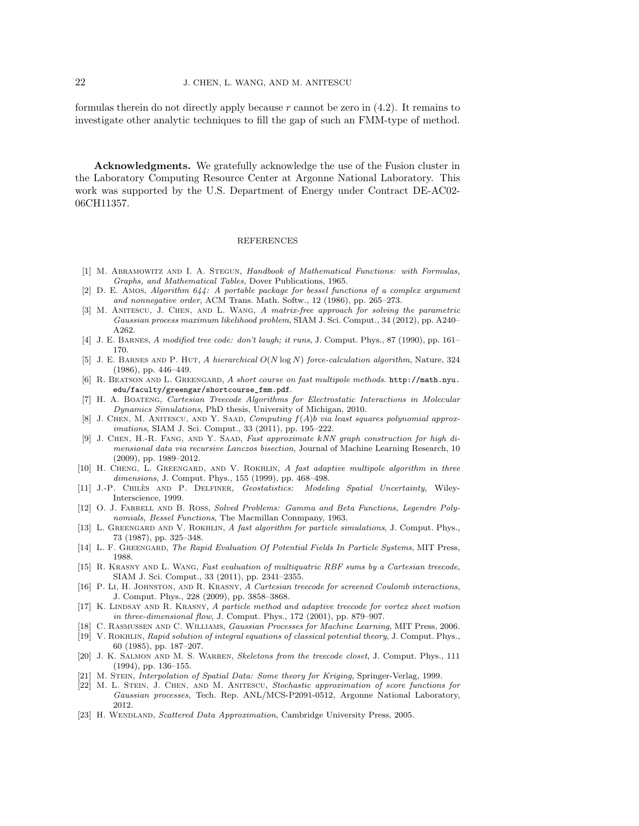formulas therein do not directly apply because  $r$  cannot be zero in  $(4.2)$ . It remains to investigate other analytic techniques to fill the gap of such an FMM-type of method.

Acknowledgments. We gratefully acknowledge the use of the Fusion cluster in the Laboratory Computing Resource Center at Argonne National Laboratory. This work was supported by the U.S. Department of Energy under Contract DE-AC02- 06CH11357.

## REFERENCES

- [1] M. Abramowitz and I. A. Stegun, Handbook of Mathematical Functions: with Formulas, Graphs, and Mathematical Tables, Dover Publications, 1965.
- [2] D. E. Amos, Algorithm 644: A portable package for bessel functions of a complex argument and nonnegative order, ACM Trans. Math. Softw., 12 (1986), pp. 265–273.
- [3] M. Anitescu, J. Chen, and L. Wang, A matrix-free approach for solving the parametric Gaussian process maximum likelihood problem, SIAM J. Sci. Comput., 34 (2012), pp. A240– A262.
- [4] J. E. Barnes, A modified tree code: don't laugh; it runs, J. Comput. Phys., 87 (1990), pp. 161– 170.
- [5] J. E. Barnes and P. Hut, A hierarchical O(N log N) force-calculation algorithm, Nature, 324 (1986), pp. 446–449.
- [6] R. BEATSON AND L. GREENGARD, A short course on fast multipole methods. http://math.nyu. edu/faculty/greengar/shortcourse\_fmm.pdf.
- [7] H. A. Boateng, Cartesian Treecode Algorithms for Electrostatic Interactions in Molecular Dynamics Simulations, PhD thesis, University of Michigan, 2010.
- [8] J. CHEN, M. ANITESCU, AND Y. SAAD, Computing  $f(A)b$  via least squares polynomial approximations, SIAM J. Sci. Comput., 33 (2011), pp. 195–222.
- [9] J. Chen, H.-R. Fang, and Y. Saad, Fast approximate kNN graph construction for high dimensional data via recursive Lanczos bisection, Journal of Machine Learning Research, 10 (2009), pp. 1989–2012.
- [10] H. CHENG, L. GREENGARD, AND V. ROKHLIN, A fast adaptive multipole algorithm in three dimensions, J. Comput. Phys., 155 (1999), pp. 468–498.
- [11] J.-P. CHILES AND P. DELFINER, Geostatistics: Modeling Spatial Uncertainty, Wiley-Interscience, 1999.
- [12] O. J. FARRELL AND B. ROSS, Solved Problems: Gamma and Beta Functions, Legendre Polynomials, Bessel Functions, The Macmillan Conmpany, 1963.
- [13] L. GREENGARD AND V. ROKHLIN, A fast algorithm for particle simulations, J. Comput. Phys., 73 (1987), pp. 325–348.
- [14] L. F. GREENGARD, The Rapid Evaluation Of Potential Fields In Particle Systems, MIT Press, 1988.
- [15] R. Krasny and L. Wang, Fast evaluation of multiquatric RBF sums by a Cartesian treecode, SIAM J. Sci. Comput., 33 (2011), pp. 2341–2355.
- [16] P. Li, H. Johnston, and R. Krasny, A Cartesian treecode for screened Coulomb interactions, J. Comput. Phys., 228 (2009), pp. 3858–3868.
- [17] K. LINDSAY AND R. KRASNY, A particle method and adaptive treecode for vortex sheet motion in three-dimensional flow, J. Comput. Phys., 172 (2001), pp. 879–907.
- [18] C. Rasmussen and C. Williams, Gaussian Processes for Machine Learning, MIT Press, 2006.
- [19] V. Rokhlin, Rapid solution of integral equations of classical potential theory, J. Comput. Phys., 60 (1985), pp. 187–207.
- [20] J. K. Salmon and M. S. Warren, Skeletons from the treecode closet, J. Comput. Phys., 111 (1994), pp. 136–155.
- [21] M. STEIN, Interpolation of Spatial Data: Some theory for Kriging, Springer-Verlag, 1999.
- [22] M. L. Stein, J. Chen, and M. Anitescu, Stochastic approximation of score functions for Gaussian processes, Tech. Rep. ANL/MCS-P2091-0512, Argonne National Laboratory, 2012.
- [23] H. WENDLAND, Scattered Data Approximation, Cambridge University Press, 2005.